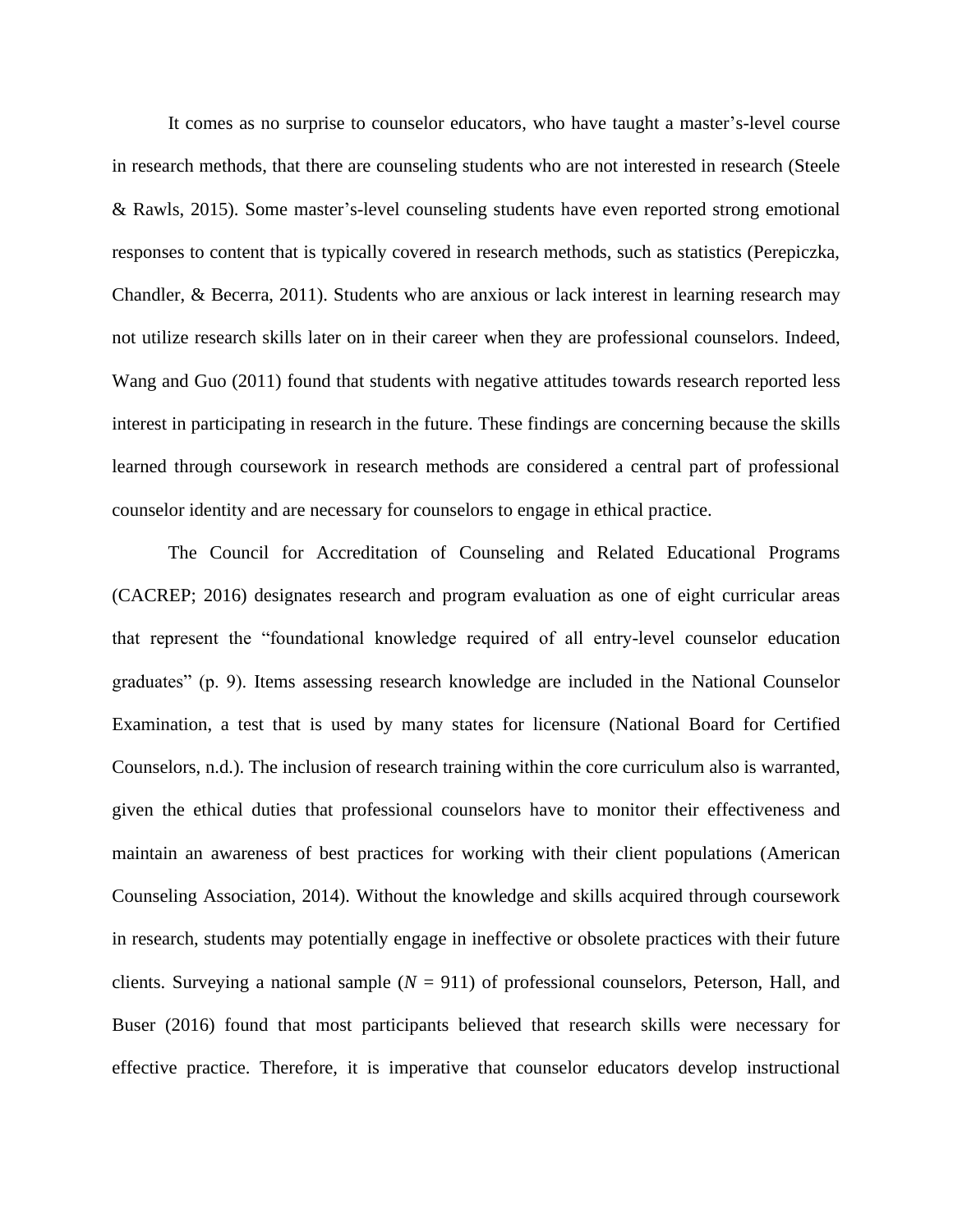It comes as no surprise to counselor educators, who have taught a master's-level course in research methods, that there are counseling students who are not interested in research (Steele & Rawls, 2015). Some master's-level counseling students have even reported strong emotional responses to content that is typically covered in research methods, such as statistics (Perepiczka, Chandler, & Becerra, 2011). Students who are anxious or lack interest in learning research may not utilize research skills later on in their career when they are professional counselors. Indeed, Wang and Guo (2011) found that students with negative attitudes towards research reported less interest in participating in research in the future. These findings are concerning because the skills learned through coursework in research methods are considered a central part of professional counselor identity and are necessary for counselors to engage in ethical practice.

The Council for Accreditation of Counseling and Related Educational Programs (CACREP; 2016) designates research and program evaluation as one of eight curricular areas that represent the "foundational knowledge required of all entry-level counselor education graduates" (p. 9). Items assessing research knowledge are included in the National Counselor Examination, a test that is used by many states for licensure (National Board for Certified Counselors, n.d.). The inclusion of research training within the core curriculum also is warranted, given the ethical duties that professional counselors have to monitor their effectiveness and maintain an awareness of best practices for working with their client populations (American Counseling Association, 2014). Without the knowledge and skills acquired through coursework in research, students may potentially engage in ineffective or obsolete practices with their future clients. Surveying a national sample (*N* = 911) of professional counselors, Peterson, Hall, and Buser (2016) found that most participants believed that research skills were necessary for effective practice. Therefore, it is imperative that counselor educators develop instructional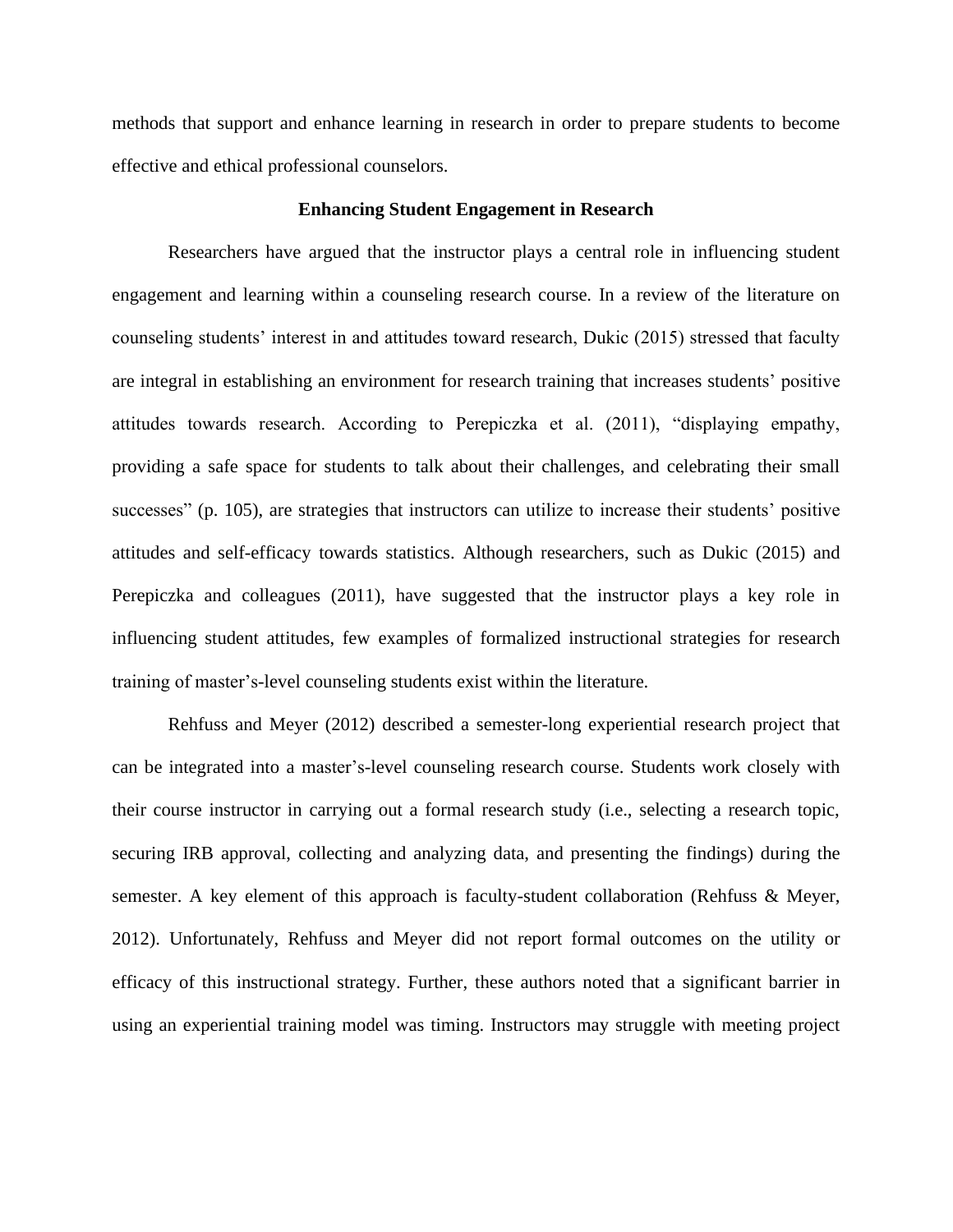methods that support and enhance learning in research in order to prepare students to become effective and ethical professional counselors.

## **Enhancing Student Engagement in Research**

Researchers have argued that the instructor plays a central role in influencing student engagement and learning within a counseling research course. In a review of the literature on counseling students' interest in and attitudes toward research, Dukic (2015) stressed that faculty are integral in establishing an environment for research training that increases students' positive attitudes towards research. According to Perepiczka et al. (2011), "displaying empathy, providing a safe space for students to talk about their challenges, and celebrating their small successes" (p. 105), are strategies that instructors can utilize to increase their students' positive attitudes and self-efficacy towards statistics. Although researchers, such as Dukic (2015) and Perepiczka and colleagues (2011), have suggested that the instructor plays a key role in influencing student attitudes, few examples of formalized instructional strategies for research training of master's-level counseling students exist within the literature.

Rehfuss and Meyer (2012) described a semester-long experiential research project that can be integrated into a master's-level counseling research course. Students work closely with their course instructor in carrying out a formal research study (i.e., selecting a research topic, securing IRB approval, collecting and analyzing data, and presenting the findings) during the semester. A key element of this approach is faculty-student collaboration (Rehfuss & Meyer, 2012). Unfortunately, Rehfuss and Meyer did not report formal outcomes on the utility or efficacy of this instructional strategy. Further, these authors noted that a significant barrier in using an experiential training model was timing. Instructors may struggle with meeting project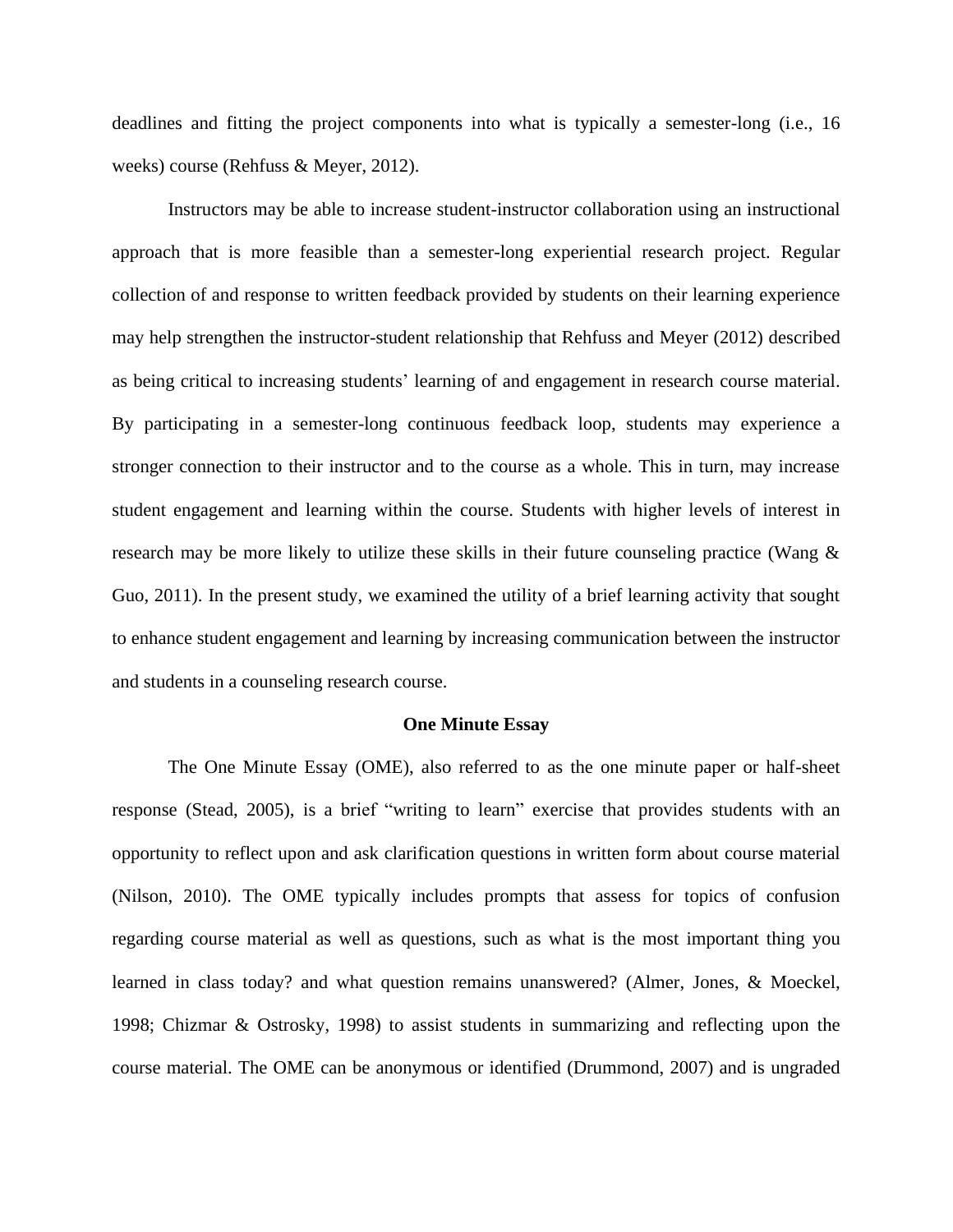deadlines and fitting the project components into what is typically a semester-long (i.e., 16 weeks) course (Rehfuss & Meyer, 2012).

Instructors may be able to increase student-instructor collaboration using an instructional approach that is more feasible than a semester-long experiential research project. Regular collection of and response to written feedback provided by students on their learning experience may help strengthen the instructor-student relationship that Rehfuss and Meyer (2012) described as being critical to increasing students' learning of and engagement in research course material. By participating in a semester-long continuous feedback loop, students may experience a stronger connection to their instructor and to the course as a whole. This in turn, may increase student engagement and learning within the course. Students with higher levels of interest in research may be more likely to utilize these skills in their future counseling practice (Wang & Guo, 2011). In the present study, we examined the utility of a brief learning activity that sought to enhance student engagement and learning by increasing communication between the instructor and students in a counseling research course.

#### **One Minute Essay**

The One Minute Essay (OME), also referred to as the one minute paper or half-sheet response (Stead, 2005), is a brief "writing to learn" exercise that provides students with an opportunity to reflect upon and ask clarification questions in written form about course material (Nilson, 2010). The OME typically includes prompts that assess for topics of confusion regarding course material as well as questions, such as what is the most important thing you learned in class today? and what question remains unanswered? (Almer, Jones, & Moeckel, 1998; Chizmar & Ostrosky, 1998) to assist students in summarizing and reflecting upon the course material. The OME can be anonymous or identified (Drummond, 2007) and is ungraded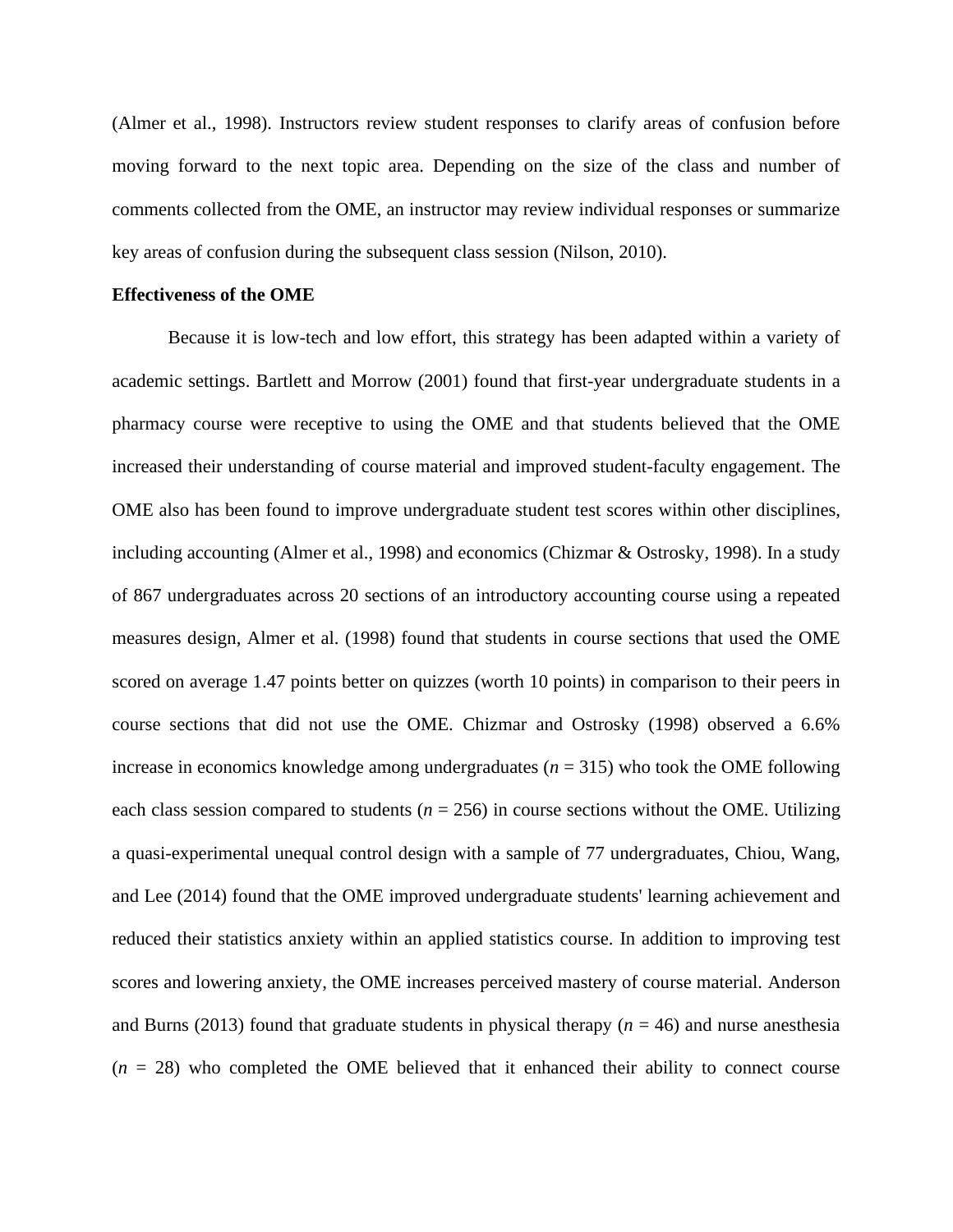(Almer et al., 1998). Instructors review student responses to clarify areas of confusion before moving forward to the next topic area. Depending on the size of the class and number of comments collected from the OME, an instructor may review individual responses or summarize key areas of confusion during the subsequent class session (Nilson, 2010).

## **Effectiveness of the OME**

Because it is low-tech and low effort, this strategy has been adapted within a variety of academic settings. Bartlett and Morrow (2001) found that first-year undergraduate students in a pharmacy course were receptive to using the OME and that students believed that the OME increased their understanding of course material and improved student-faculty engagement. The OME also has been found to improve undergraduate student test scores within other disciplines, including accounting (Almer et al., 1998) and economics (Chizmar & Ostrosky, 1998). In a study of 867 undergraduates across 20 sections of an introductory accounting course using a repeated measures design, Almer et al. (1998) found that students in course sections that used the OME scored on average 1.47 points better on quizzes (worth 10 points) in comparison to their peers in course sections that did not use the OME. Chizmar and Ostrosky (1998) observed a 6.6% increase in economics knowledge among undergraduates  $(n = 315)$  who took the OME following each class session compared to students ( $n = 256$ ) in course sections without the OME. Utilizing a quasi-experimental unequal control design with a sample of 77 undergraduates, Chiou, Wang, and Lee (2014) found that the OME improved undergraduate students' learning achievement and reduced their statistics anxiety within an applied statistics course. In addition to improving test scores and lowering anxiety, the OME increases perceived mastery of course material. Anderson and Burns (2013) found that graduate students in physical therapy  $(n = 46)$  and nurse anesthesia  $(n = 28)$  who completed the OME believed that it enhanced their ability to connect course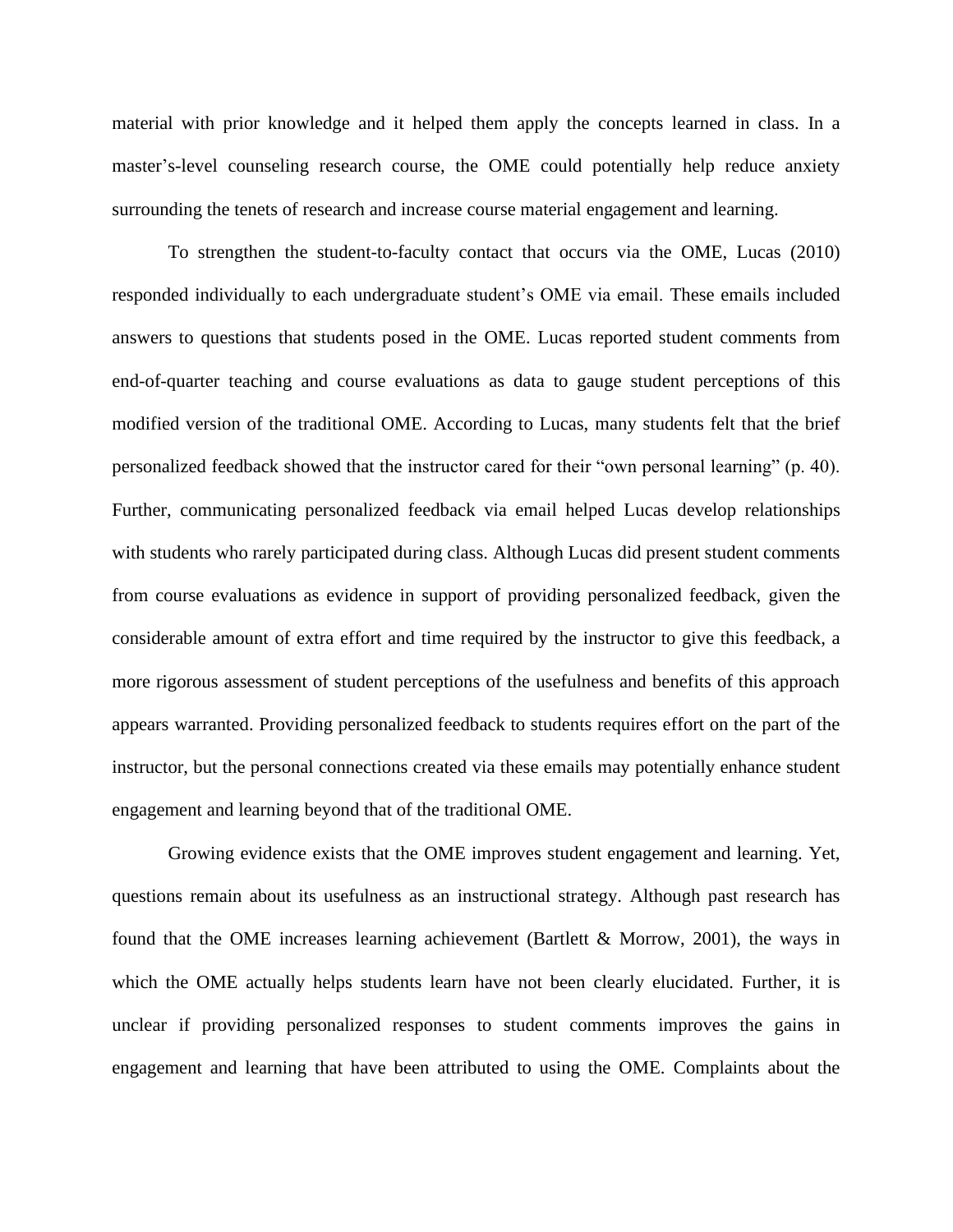material with prior knowledge and it helped them apply the concepts learned in class. In a master's-level counseling research course, the OME could potentially help reduce anxiety surrounding the tenets of research and increase course material engagement and learning.

To strengthen the student-to-faculty contact that occurs via the OME, Lucas (2010) responded individually to each undergraduate student's OME via email. These emails included answers to questions that students posed in the OME. Lucas reported student comments from end-of-quarter teaching and course evaluations as data to gauge student perceptions of this modified version of the traditional OME. According to Lucas, many students felt that the brief personalized feedback showed that the instructor cared for their "own personal learning" (p. 40). Further, communicating personalized feedback via email helped Lucas develop relationships with students who rarely participated during class. Although Lucas did present student comments from course evaluations as evidence in support of providing personalized feedback, given the considerable amount of extra effort and time required by the instructor to give this feedback, a more rigorous assessment of student perceptions of the usefulness and benefits of this approach appears warranted. Providing personalized feedback to students requires effort on the part of the instructor, but the personal connections created via these emails may potentially enhance student engagement and learning beyond that of the traditional OME.

Growing evidence exists that the OME improves student engagement and learning. Yet, questions remain about its usefulness as an instructional strategy. Although past research has found that the OME increases learning achievement (Bartlett  $\&$  Morrow, 2001), the ways in which the OME actually helps students learn have not been clearly elucidated. Further, it is unclear if providing personalized responses to student comments improves the gains in engagement and learning that have been attributed to using the OME. Complaints about the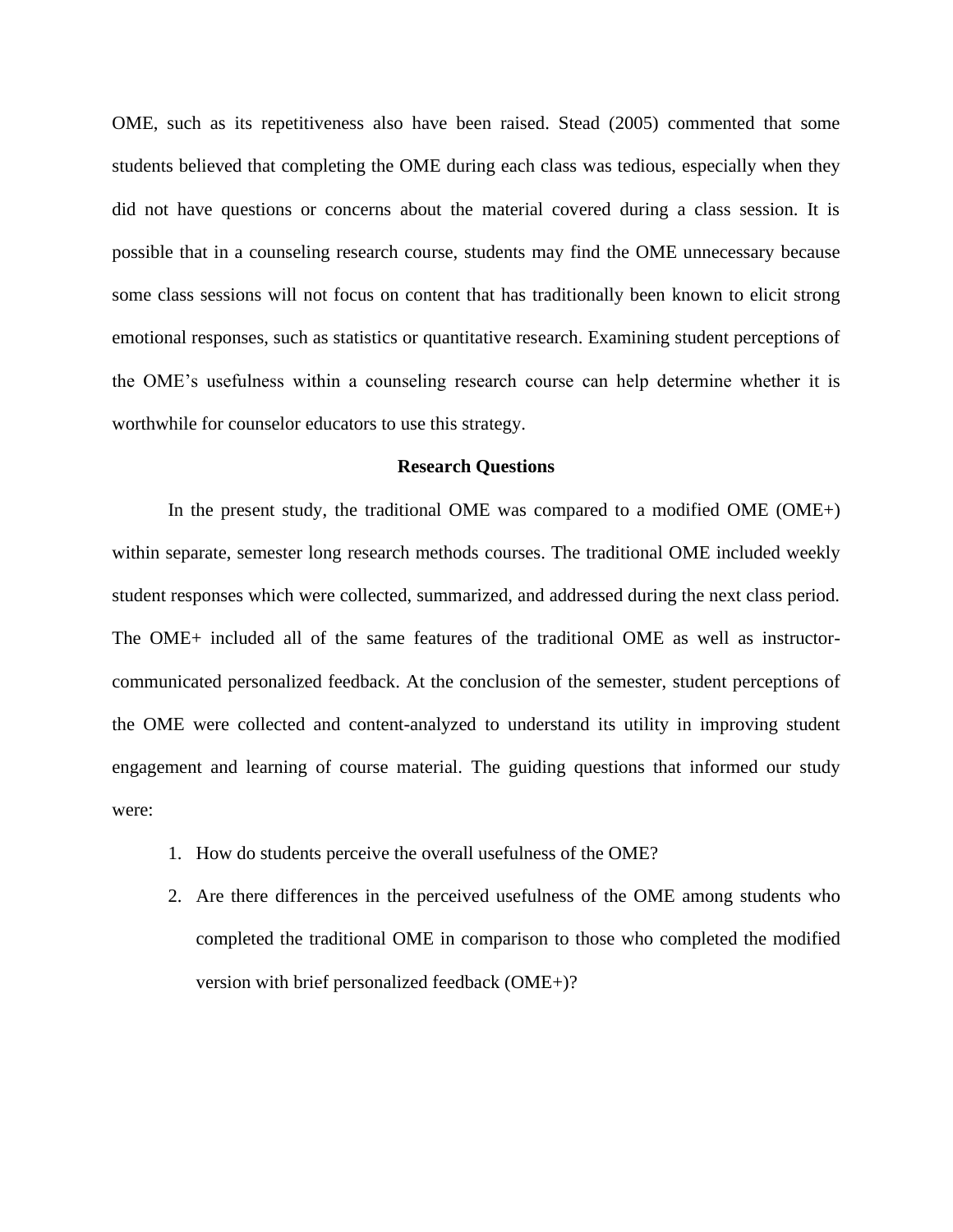OME, such as its repetitiveness also have been raised. Stead (2005) commented that some students believed that completing the OME during each class was tedious, especially when they did not have questions or concerns about the material covered during a class session. It is possible that in a counseling research course, students may find the OME unnecessary because some class sessions will not focus on content that has traditionally been known to elicit strong emotional responses, such as statistics or quantitative research. Examining student perceptions of the OME's usefulness within a counseling research course can help determine whether it is worthwhile for counselor educators to use this strategy.

## **Research Questions**

In the present study, the traditional OME was compared to a modified OME (OME+) within separate, semester long research methods courses. The traditional OME included weekly student responses which were collected, summarized, and addressed during the next class period. The OME+ included all of the same features of the traditional OME as well as instructorcommunicated personalized feedback. At the conclusion of the semester, student perceptions of the OME were collected and content-analyzed to understand its utility in improving student engagement and learning of course material. The guiding questions that informed our study were:

- 1. How do students perceive the overall usefulness of the OME?
- 2. Are there differences in the perceived usefulness of the OME among students who completed the traditional OME in comparison to those who completed the modified version with brief personalized feedback (OME+)?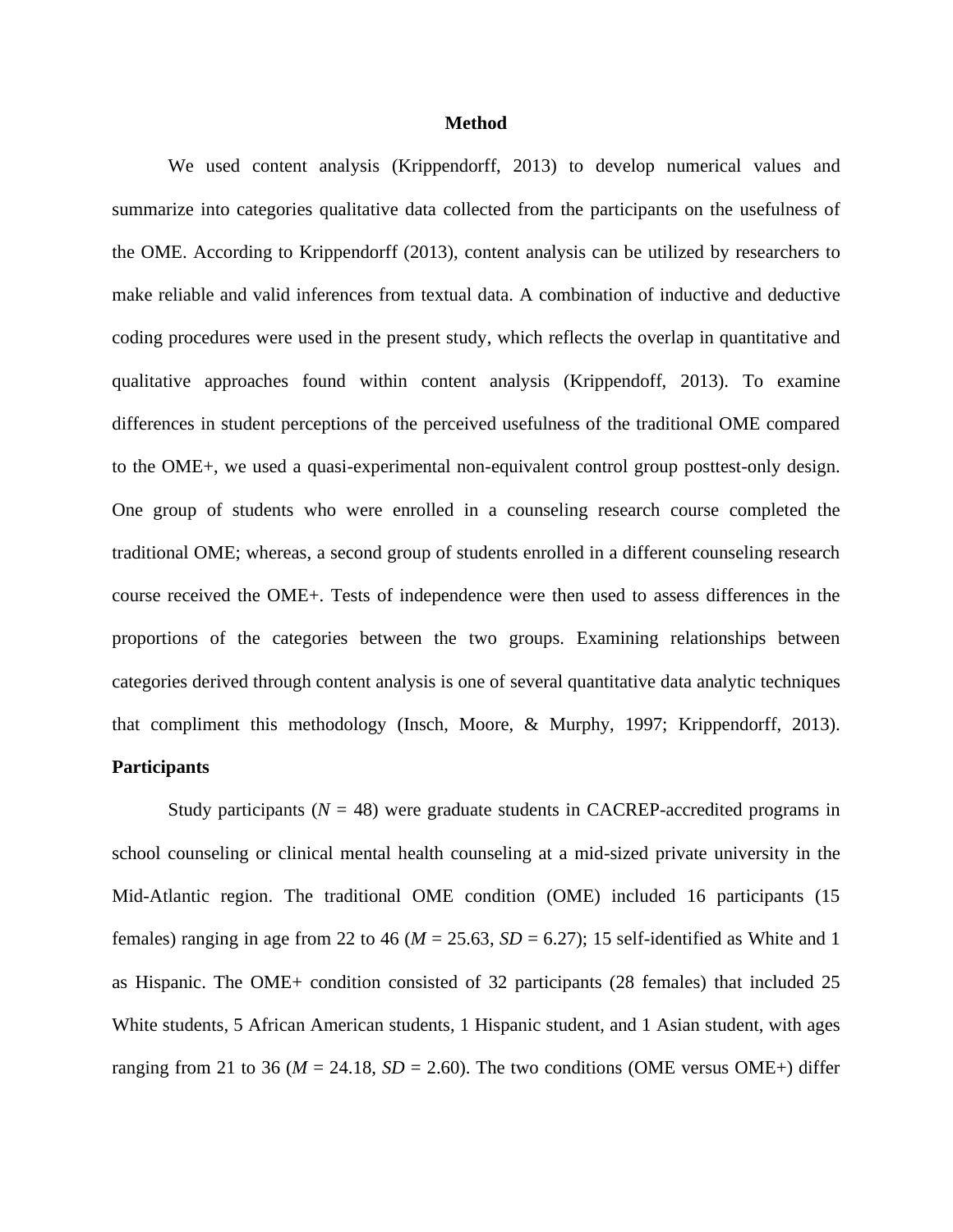## **Method**

We used content analysis (Krippendorff, 2013) to develop numerical values and summarize into categories qualitative data collected from the participants on the usefulness of the OME. According to Krippendorff (2013), content analysis can be utilized by researchers to make reliable and valid inferences from textual data. A combination of inductive and deductive coding procedures were used in the present study, which reflects the overlap in quantitative and qualitative approaches found within content analysis (Krippendoff, 2013). To examine differences in student perceptions of the perceived usefulness of the traditional OME compared to the OME+, we used a quasi-experimental non-equivalent control group posttest-only design. One group of students who were enrolled in a counseling research course completed the traditional OME; whereas, a second group of students enrolled in a different counseling research course received the OME+. Tests of independence were then used to assess differences in the proportions of the categories between the two groups. Examining relationships between categories derived through content analysis is one of several quantitative data analytic techniques that compliment this methodology (Insch, Moore, & Murphy, 1997; Krippendorff, 2013). **Participants**

# Study participants  $(N = 48)$  were graduate students in CACREP-accredited programs in school counseling or clinical mental health counseling at a mid-sized private university in the Mid-Atlantic region. The traditional OME condition (OME) included 16 participants (15 females) ranging in age from 22 to 46 ( $M = 25.63$ ,  $SD = 6.27$ ); 15 self-identified as White and 1 as Hispanic. The OME+ condition consisted of 32 participants (28 females) that included 25 White students, 5 African American students, 1 Hispanic student, and 1 Asian student, with ages ranging from 21 to 36 ( $M = 24.18$ ,  $SD = 2.60$ ). The two conditions (OME versus OME+) differ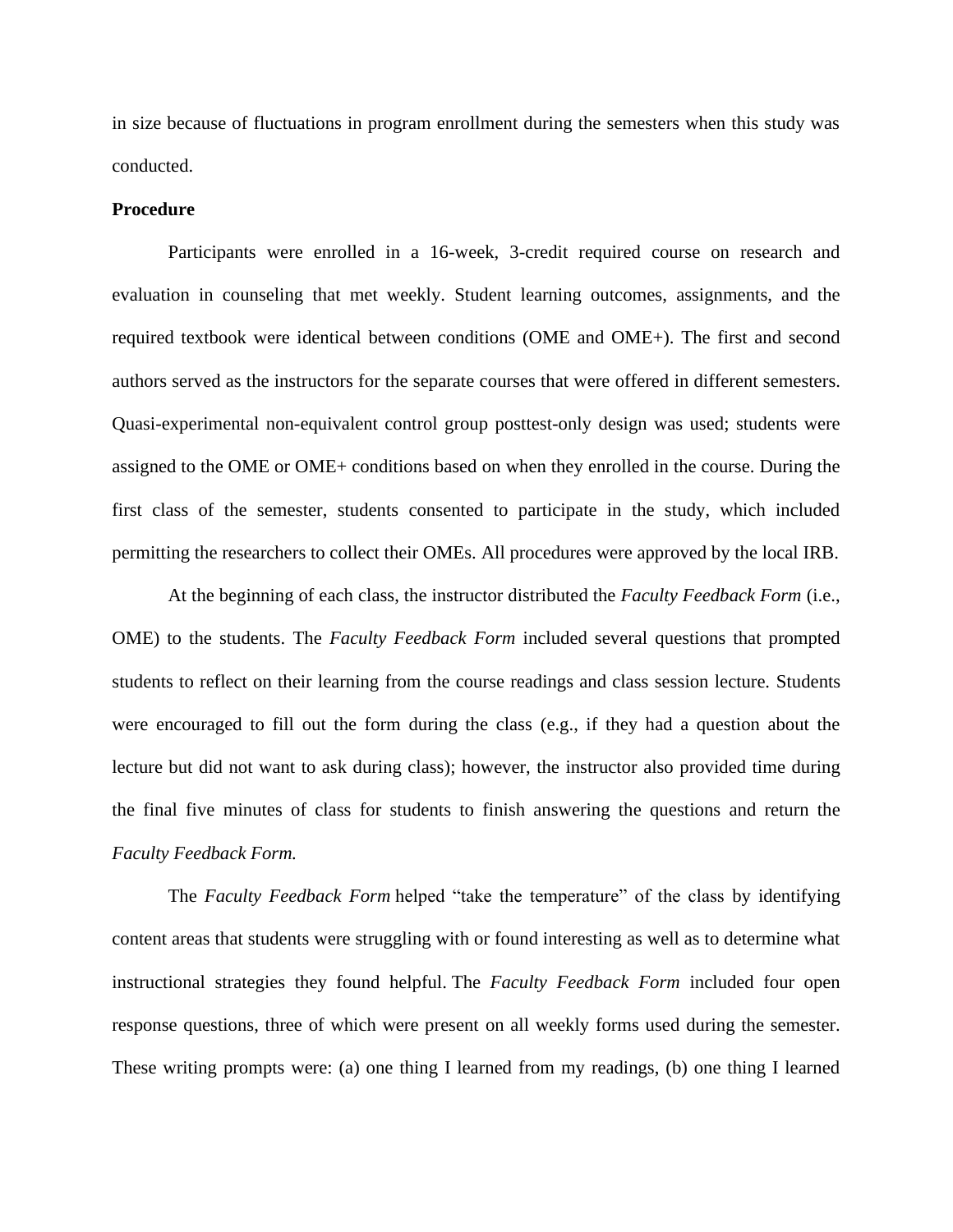in size because of fluctuations in program enrollment during the semesters when this study was conducted.

## **Procedure**

Participants were enrolled in a 16-week, 3-credit required course on research and evaluation in counseling that met weekly. Student learning outcomes, assignments, and the required textbook were identical between conditions (OME and OME+). The first and second authors served as the instructors for the separate courses that were offered in different semesters. Quasi-experimental non-equivalent control group posttest-only design was used; students were assigned to the OME or OME+ conditions based on when they enrolled in the course. During the first class of the semester, students consented to participate in the study, which included permitting the researchers to collect their OMEs. All procedures were approved by the local IRB.

At the beginning of each class, the instructor distributed the *Faculty Feedback Form* (i.e., OME) to the students. The *Faculty Feedback Form* included several questions that prompted students to reflect on their learning from the course readings and class session lecture. Students were encouraged to fill out the form during the class (e.g., if they had a question about the lecture but did not want to ask during class); however, the instructor also provided time during the final five minutes of class for students to finish answering the questions and return the *Faculty Feedback Form.*

The *Faculty Feedback Form* helped "take the temperature" of the class by identifying content areas that students were struggling with or found interesting as well as to determine what instructional strategies they found helpful. The *Faculty Feedback Form* included four open response questions, three of which were present on all weekly forms used during the semester. These writing prompts were: (a) one thing I learned from my readings, (b) one thing I learned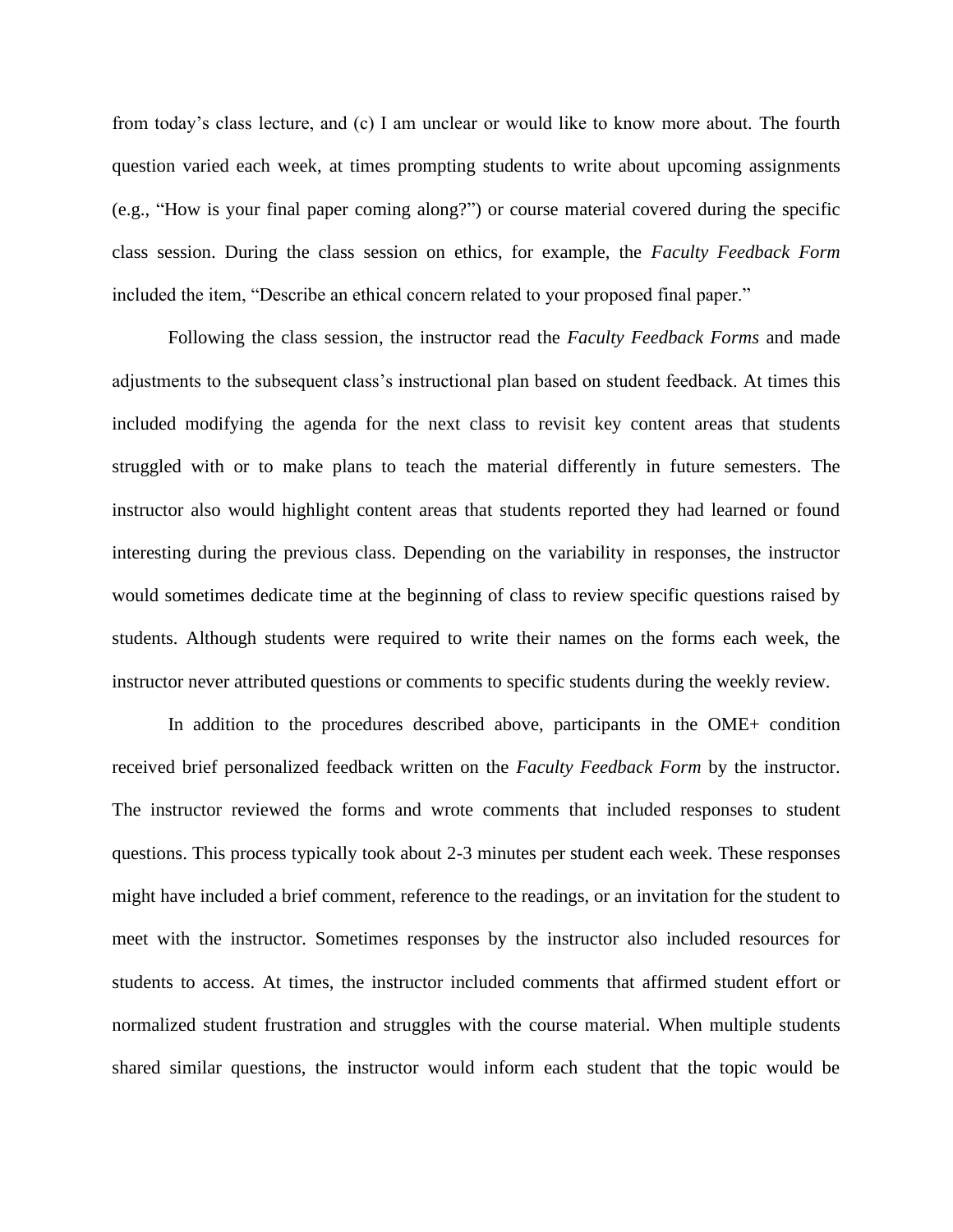from today's class lecture, and (c) I am unclear or would like to know more about. The fourth question varied each week, at times prompting students to write about upcoming assignments (e.g., "How is your final paper coming along?") or course material covered during the specific class session. During the class session on ethics, for example, the *Faculty Feedback Form* included the item, "Describe an ethical concern related to your proposed final paper."

Following the class session, the instructor read the *Faculty Feedback Forms* and made adjustments to the subsequent class's instructional plan based on student feedback. At times this included modifying the agenda for the next class to revisit key content areas that students struggled with or to make plans to teach the material differently in future semesters. The instructor also would highlight content areas that students reported they had learned or found interesting during the previous class. Depending on the variability in responses, the instructor would sometimes dedicate time at the beginning of class to review specific questions raised by students. Although students were required to write their names on the forms each week, the instructor never attributed questions or comments to specific students during the weekly review.

In addition to the procedures described above, participants in the OME+ condition received brief personalized feedback written on the *Faculty Feedback Form* by the instructor. The instructor reviewed the forms and wrote comments that included responses to student questions. This process typically took about 2-3 minutes per student each week. These responses might have included a brief comment, reference to the readings, or an invitation for the student to meet with the instructor. Sometimes responses by the instructor also included resources for students to access. At times, the instructor included comments that affirmed student effort or normalized student frustration and struggles with the course material. When multiple students shared similar questions, the instructor would inform each student that the topic would be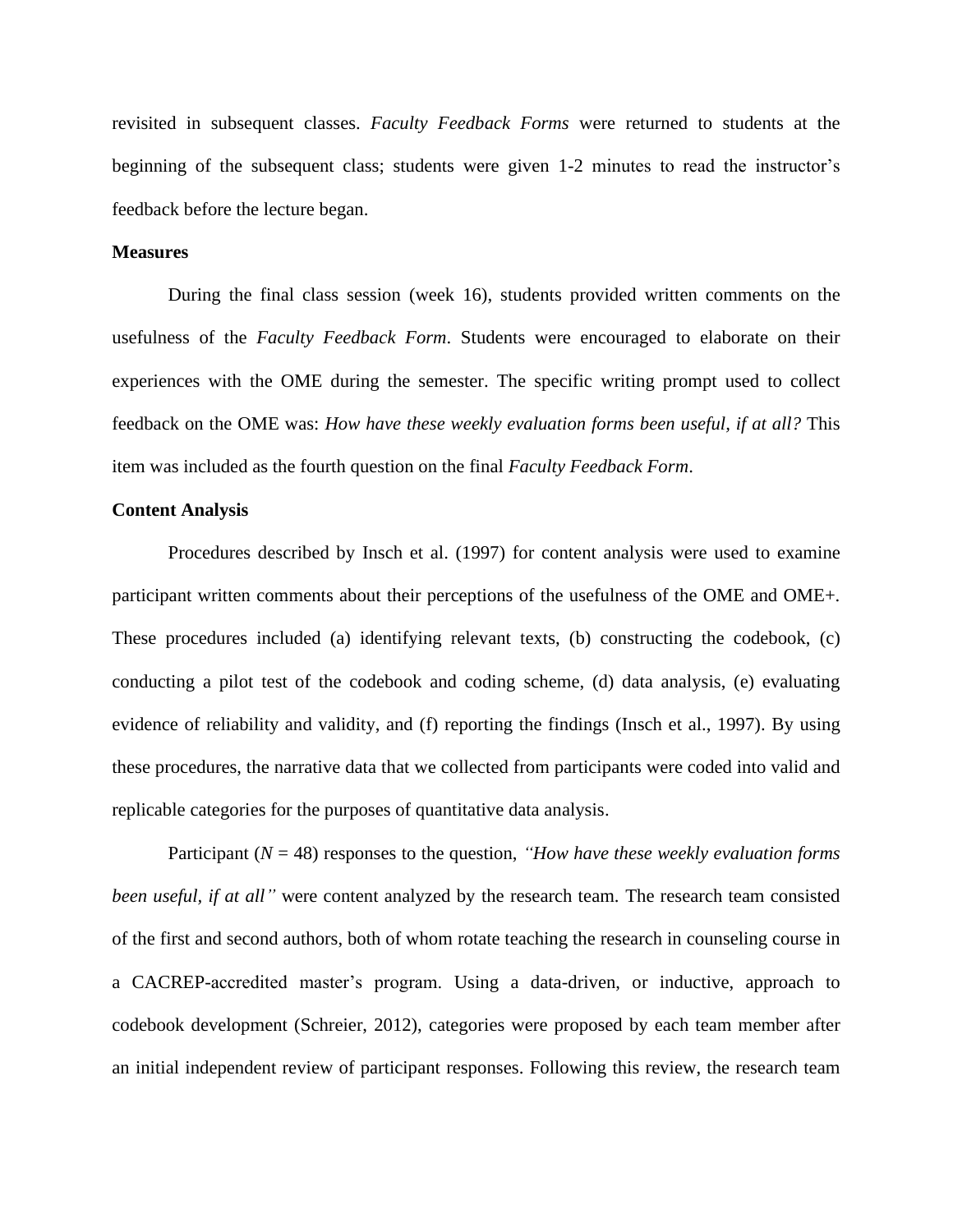revisited in subsequent classes. *Faculty Feedback Forms* were returned to students at the beginning of the subsequent class; students were given 1-2 minutes to read the instructor's feedback before the lecture began.

# **Measures**

During the final class session (week 16), students provided written comments on the usefulness of the *Faculty Feedback Form*. Students were encouraged to elaborate on their experiences with the OME during the semester. The specific writing prompt used to collect feedback on the OME was: *How have these weekly evaluation forms been useful, if at all?* This item was included as the fourth question on the final *Faculty Feedback Form*.

# **Content Analysis**

Procedures described by Insch et al. (1997) for content analysis were used to examine participant written comments about their perceptions of the usefulness of the OME and OME+. These procedures included (a) identifying relevant texts, (b) constructing the codebook, (c) conducting a pilot test of the codebook and coding scheme, (d) data analysis, (e) evaluating evidence of reliability and validity, and (f) reporting the findings (Insch et al., 1997). By using these procedures, the narrative data that we collected from participants were coded into valid and replicable categories for the purposes of quantitative data analysis.

Participant (*N* = 48) responses to the question, *"How have these weekly evaluation forms been useful, if at all*" were content analyzed by the research team. The research team consisted of the first and second authors, both of whom rotate teaching the research in counseling course in a CACREP-accredited master's program. Using a data-driven, or inductive, approach to codebook development (Schreier, 2012), categories were proposed by each team member after an initial independent review of participant responses. Following this review, the research team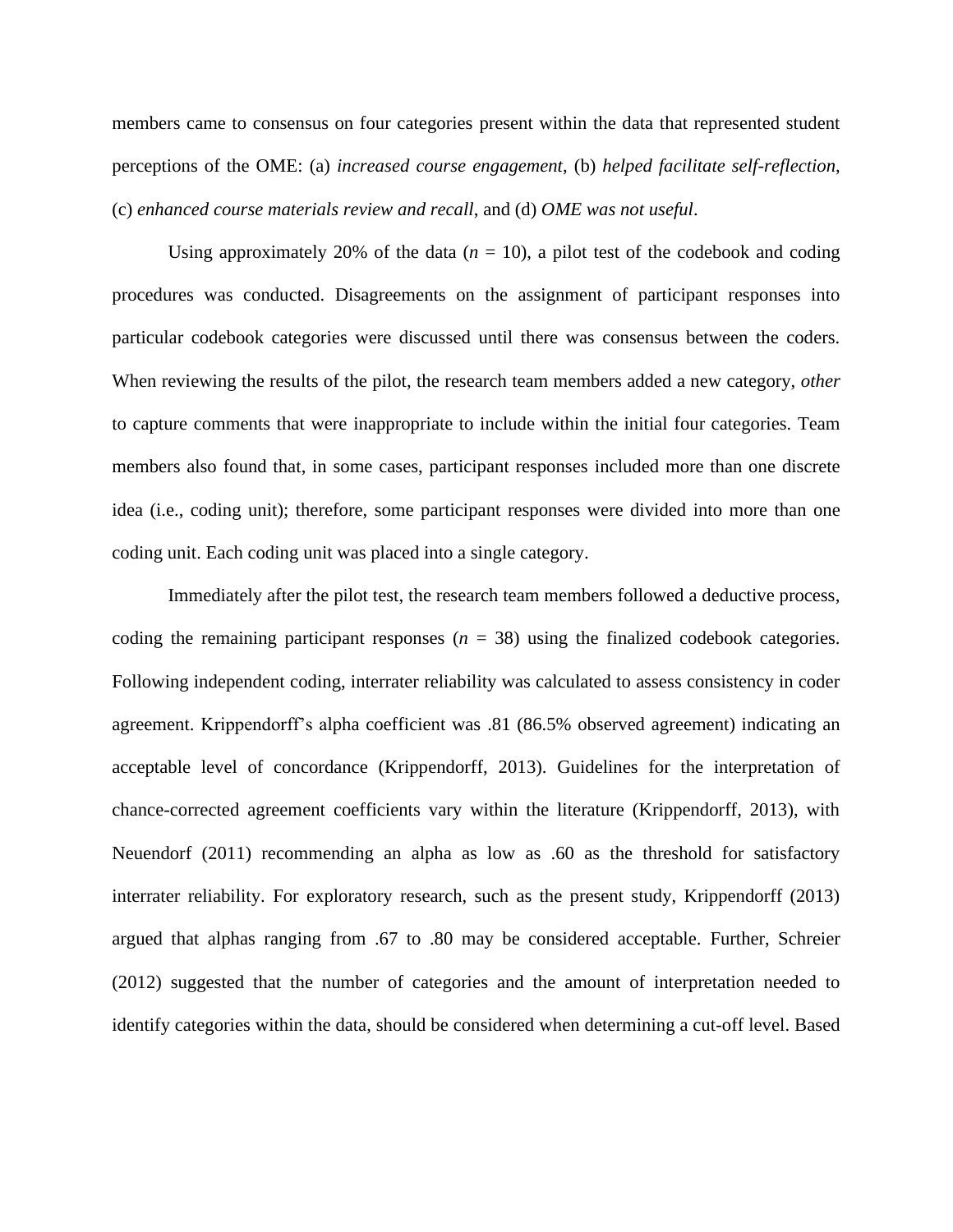members came to consensus on four categories present within the data that represented student perceptions of the OME: (a) *increased course engagement*, (b) *helped facilitate self-reflection*, (c) *enhanced course materials review and recall*, and (d) *OME was not useful*.

Using approximately 20% of the data  $(n = 10)$ , a pilot test of the codebook and coding procedures was conducted. Disagreements on the assignment of participant responses into particular codebook categories were discussed until there was consensus between the coders. When reviewing the results of the pilot, the research team members added a new category, *other* to capture comments that were inappropriate to include within the initial four categories. Team members also found that, in some cases, participant responses included more than one discrete idea (i.e., coding unit); therefore, some participant responses were divided into more than one coding unit. Each coding unit was placed into a single category.

Immediately after the pilot test, the research team members followed a deductive process, coding the remaining participant responses  $(n = 38)$  using the finalized codebook categories. Following independent coding, interrater reliability was calculated to assess consistency in coder agreement. Krippendorff's alpha coefficient was .81 (86.5% observed agreement) indicating an acceptable level of concordance (Krippendorff, 2013). Guidelines for the interpretation of chance-corrected agreement coefficients vary within the literature (Krippendorff, 2013), with Neuendorf (2011) recommending an alpha as low as .60 as the threshold for satisfactory interrater reliability. For exploratory research, such as the present study, Krippendorff (2013) argued that alphas ranging from .67 to .80 may be considered acceptable. Further, Schreier (2012) suggested that the number of categories and the amount of interpretation needed to identify categories within the data, should be considered when determining a cut-off level. Based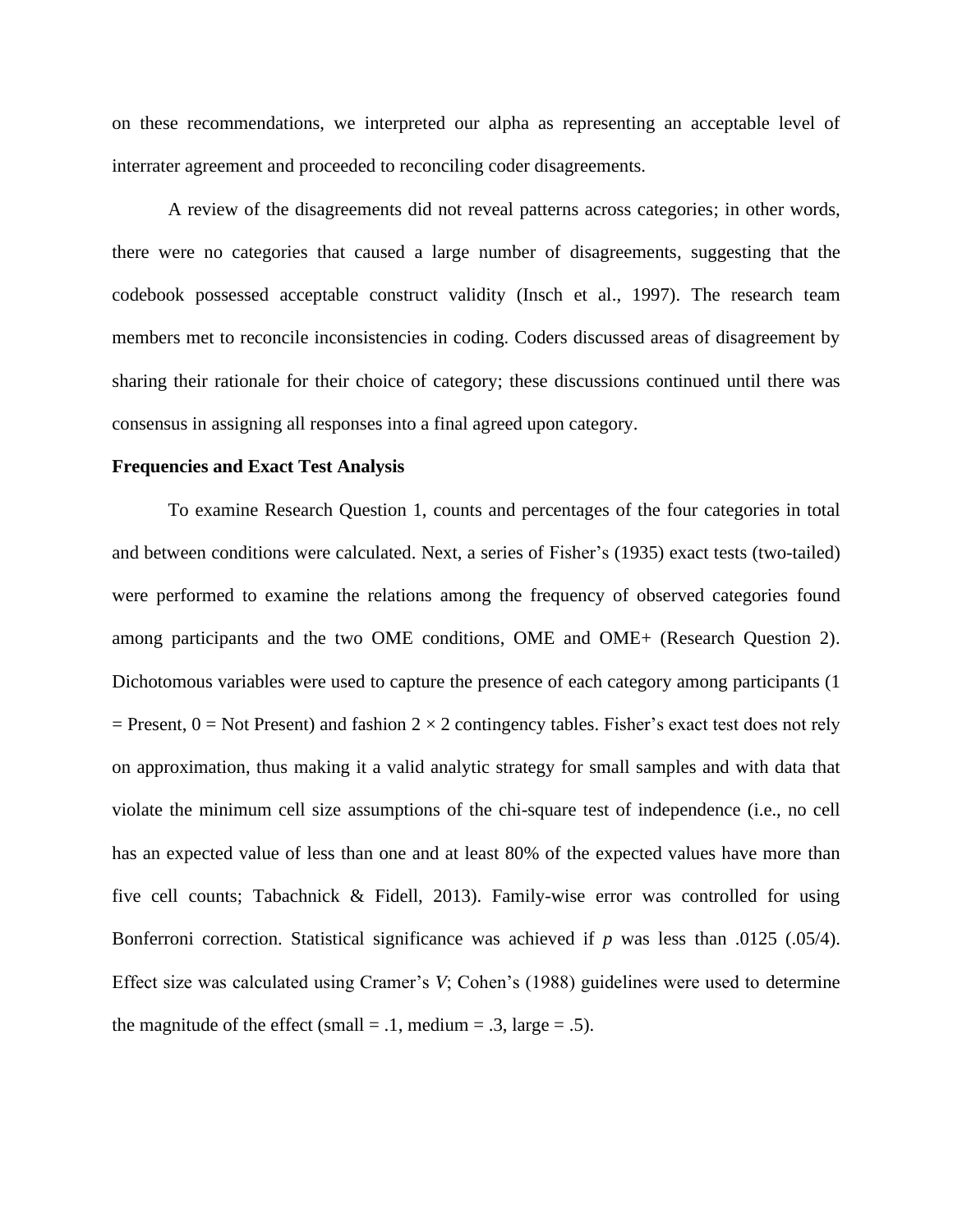on these recommendations, we interpreted our alpha as representing an acceptable level of interrater agreement and proceeded to reconciling coder disagreements.

A review of the disagreements did not reveal patterns across categories; in other words, there were no categories that caused a large number of disagreements, suggesting that the codebook possessed acceptable construct validity (Insch et al., 1997). The research team members met to reconcile inconsistencies in coding. Coders discussed areas of disagreement by sharing their rationale for their choice of category; these discussions continued until there was consensus in assigning all responses into a final agreed upon category.

#### **Frequencies and Exact Test Analysis**

To examine Research Question 1, counts and percentages of the four categories in total and between conditions were calculated. Next, a series of Fisher's (1935) exact tests (two-tailed) were performed to examine the relations among the frequency of observed categories found among participants and the two OME conditions, OME and OME+ (Research Question 2). Dichotomous variables were used to capture the presence of each category among participants (1  $=$  Present,  $0 =$  Not Present) and fashion 2  $\times$  2 contingency tables. Fisher's exact test does not rely on approximation, thus making it a valid analytic strategy for small samples and with data that violate the minimum cell size assumptions of the chi-square test of independence (i.e., no cell has an expected value of less than one and at least 80% of the expected values have more than five cell counts; Tabachnick & Fidell, 2013). Family-wise error was controlled for using Bonferroni correction. Statistical significance was achieved if *p* was less than .0125 (.05/4). Effect size was calculated using Cramer's *V*; Cohen's (1988) guidelines were used to determine the magnitude of the effect (small  $= .1$ , medium  $= .3$ , large  $= .5$ ).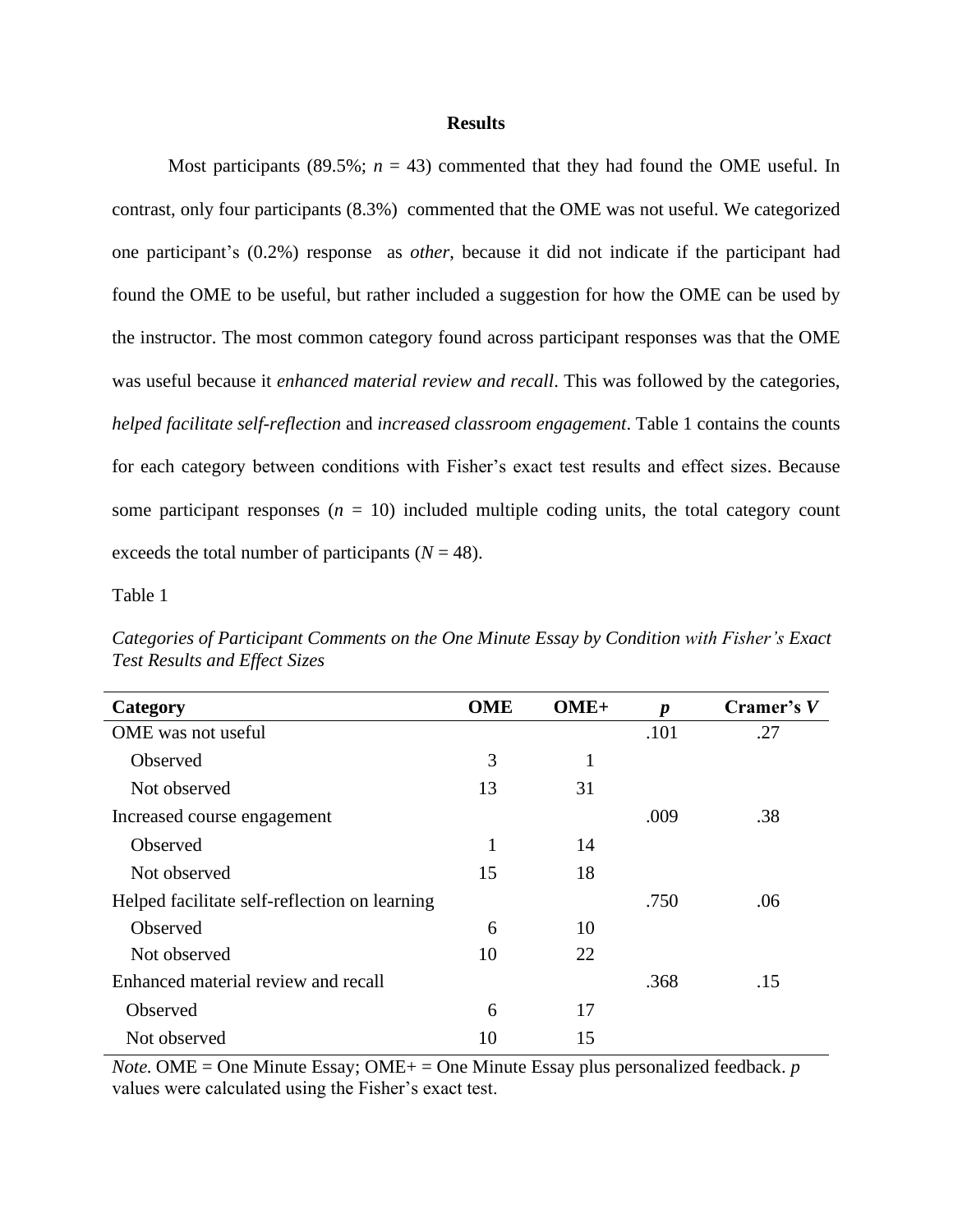### **Results**

Most participants (89.5%;  $n = 43$ ) commented that they had found the OME useful. In contrast, only four participants (8.3%) commented that the OME was not useful. We categorized one participant's (0.2%) response as *other*, because it did not indicate if the participant had found the OME to be useful, but rather included a suggestion for how the OME can be used by the instructor. The most common category found across participant responses was that the OME was useful because it *enhanced material review and recall*. This was followed by the categories, *helped facilitate self-reflection* and *increased classroom engagement*. Table 1 contains the counts for each category between conditions with Fisher's exact test results and effect sizes. Because some participant responses  $(n = 10)$  included multiple coding units, the total category count exceeds the total number of participants  $(N = 48)$ .

Table 1

| Category                                      | <b>OME</b>   | $OME+$ | $\boldsymbol{p}$ | Cramer's V |
|-----------------------------------------------|--------------|--------|------------------|------------|
| OME was not useful                            |              |        | .101             | .27        |
| Observed                                      | 3            | 1      |                  |            |
| Not observed                                  | 13           | 31     |                  |            |
| Increased course engagement                   |              |        | .009             | .38        |
| Observed                                      | $\mathbf{1}$ | 14     |                  |            |
| Not observed                                  | 15           | 18     |                  |            |
| Helped facilitate self-reflection on learning |              |        | .750             | .06        |
| Observed                                      | 6            | 10     |                  |            |
| Not observed                                  | 10           | 22     |                  |            |
| Enhanced material review and recall           |              |        | .368             | .15        |
| Observed                                      | 6            | 17     |                  |            |
| Not observed                                  | 10           | 15     |                  |            |

*Categories of Participant Comments on the One Minute Essay by Condition with Fisher's Exact Test Results and Effect Sizes*

*Note.* OME = One Minute Essay; OME+ = One Minute Essay plus personalized feedback. *p*  values were calculated using the Fisher's exact test.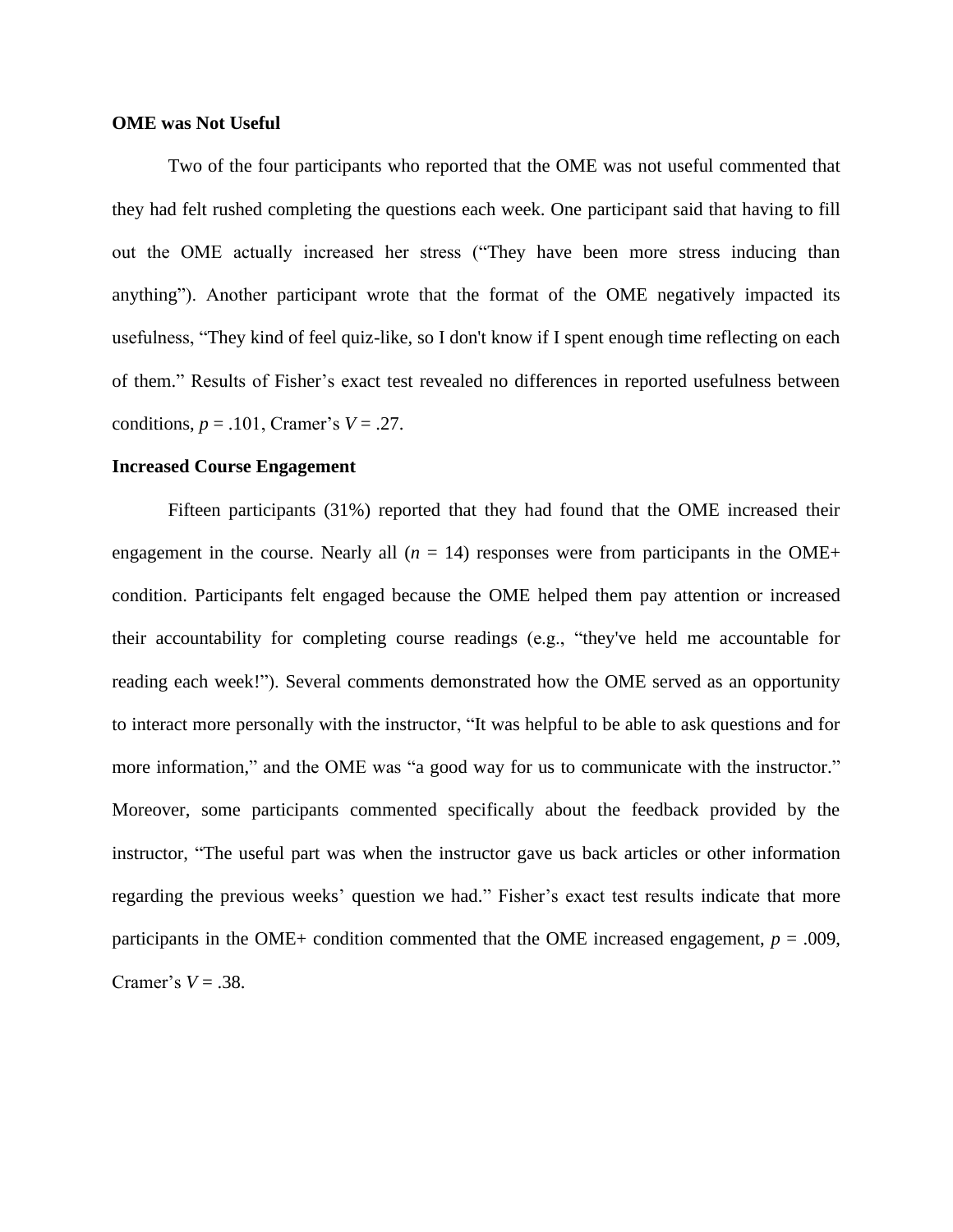# **OME was Not Useful**

Two of the four participants who reported that the OME was not useful commented that they had felt rushed completing the questions each week. One participant said that having to fill out the OME actually increased her stress ("They have been more stress inducing than anything"). Another participant wrote that the format of the OME negatively impacted its usefulness, "They kind of feel quiz-like, so I don't know if I spent enough time reflecting on each of them." Results of Fisher's exact test revealed no differences in reported usefulness between conditions,  $p = .101$ , Cramer's  $V = .27$ .

## **Increased Course Engagement**

Fifteen participants (31%) reported that they had found that the OME increased their engagement in the course. Nearly all  $(n = 14)$  responses were from participants in the OME+ condition. Participants felt engaged because the OME helped them pay attention or increased their accountability for completing course readings (e.g., "they've held me accountable for reading each week!"). Several comments demonstrated how the OME served as an opportunity to interact more personally with the instructor, "It was helpful to be able to ask questions and for more information," and the OME was "a good way for us to communicate with the instructor." Moreover, some participants commented specifically about the feedback provided by the instructor, "The useful part was when the instructor gave us back articles or other information regarding the previous weeks' question we had." Fisher's exact test results indicate that more participants in the OME+ condition commented that the OME increased engagement,  $p = .009$ , Cramer's  $V = .38$ .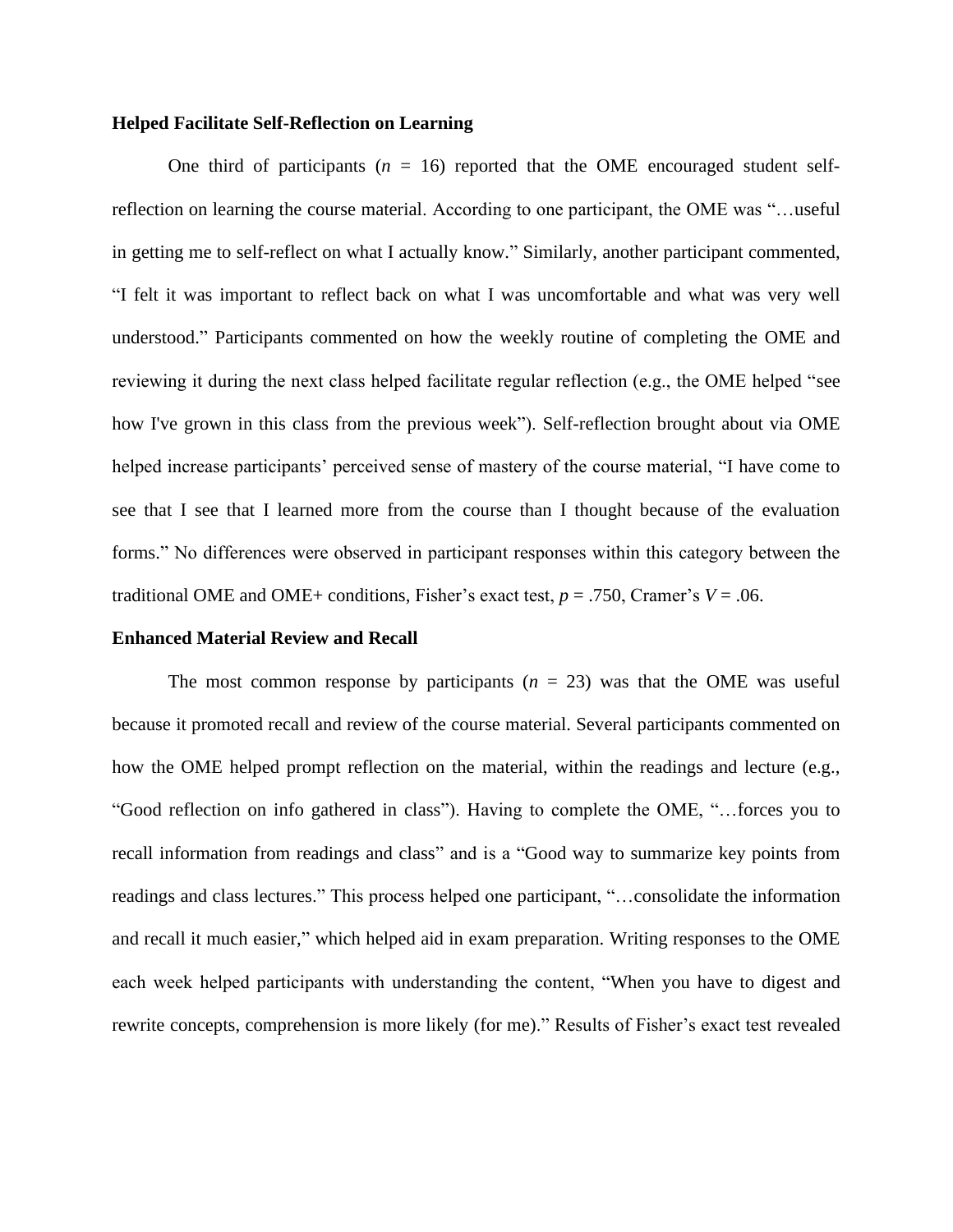# **Helped Facilitate Self-Reflection on Learning**

One third of participants  $(n = 16)$  reported that the OME encouraged student selfreflection on learning the course material. According to one participant, the OME was "…useful in getting me to self-reflect on what I actually know." Similarly, another participant commented, "I felt it was important to reflect back on what I was uncomfortable and what was very well understood." Participants commented on how the weekly routine of completing the OME and reviewing it during the next class helped facilitate regular reflection (e.g., the OME helped "see how I've grown in this class from the previous week"). Self-reflection brought about via OME helped increase participants' perceived sense of mastery of the course material, "I have come to see that I see that I learned more from the course than I thought because of the evaluation forms." No differences were observed in participant responses within this category between the traditional OME and OME+ conditions, Fisher's exact test,  $p = .750$ , Cramer's  $V = .06$ .

#### **Enhanced Material Review and Recall**

The most common response by participants  $(n = 23)$  was that the OME was useful because it promoted recall and review of the course material. Several participants commented on how the OME helped prompt reflection on the material, within the readings and lecture (e.g., "Good reflection on info gathered in class"). Having to complete the OME, "…forces you to recall information from readings and class" and is a "Good way to summarize key points from readings and class lectures." This process helped one participant, "…consolidate the information and recall it much easier," which helped aid in exam preparation. Writing responses to the OME each week helped participants with understanding the content, "When you have to digest and rewrite concepts, comprehension is more likely (for me)." Results of Fisher's exact test revealed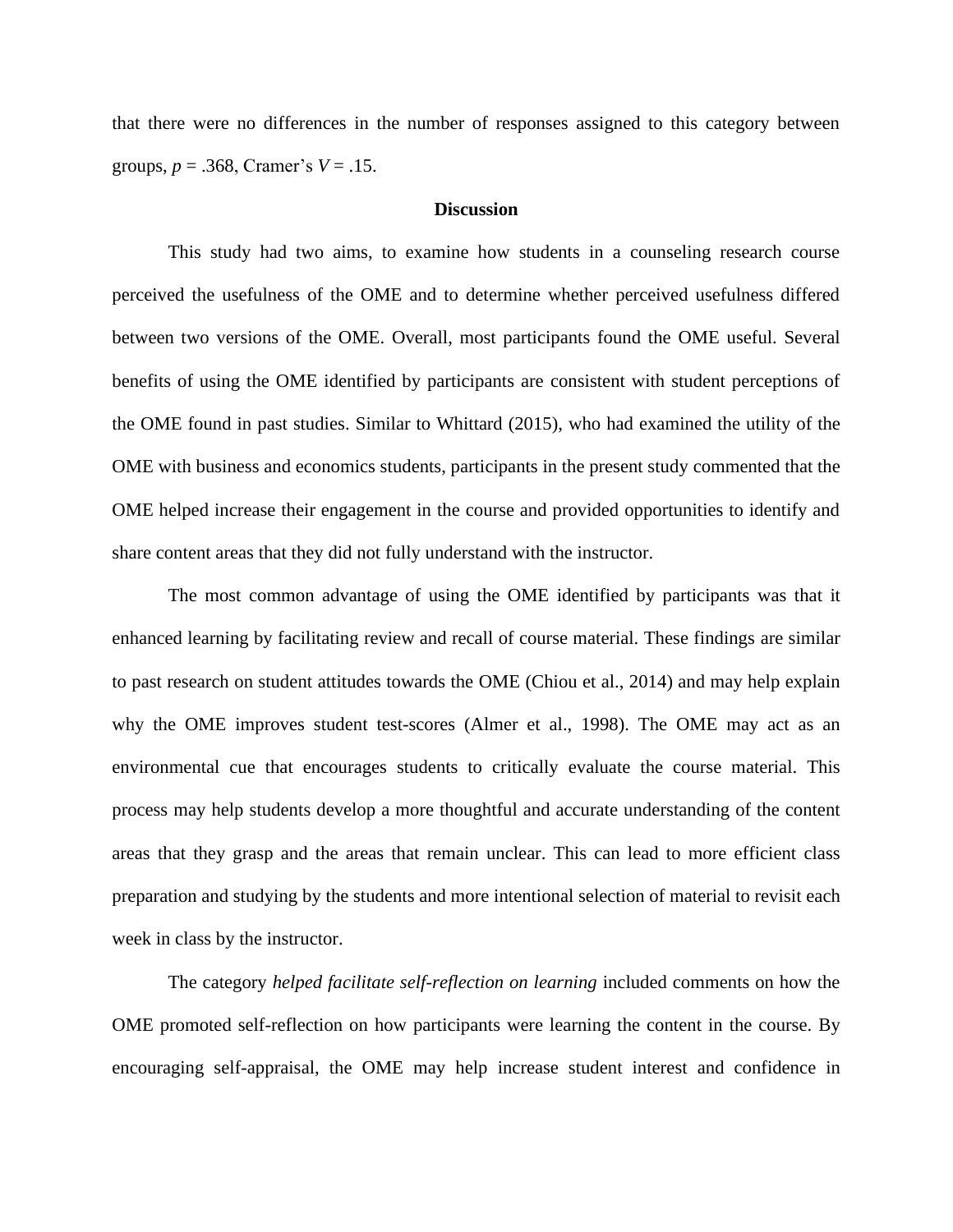that there were no differences in the number of responses assigned to this category between groups, *p* = .368, Cramer's *V* = .15.

# **Discussion**

This study had two aims, to examine how students in a counseling research course perceived the usefulness of the OME and to determine whether perceived usefulness differed between two versions of the OME. Overall, most participants found the OME useful. Several benefits of using the OME identified by participants are consistent with student perceptions of the OME found in past studies. Similar to Whittard (2015), who had examined the utility of the OME with business and economics students, participants in the present study commented that the OME helped increase their engagement in the course and provided opportunities to identify and share content areas that they did not fully understand with the instructor.

The most common advantage of using the OME identified by participants was that it enhanced learning by facilitating review and recall of course material. These findings are similar to past research on student attitudes towards the OME (Chiou et al., 2014) and may help explain why the OME improves student test-scores (Almer et al., 1998). The OME may act as an environmental cue that encourages students to critically evaluate the course material. This process may help students develop a more thoughtful and accurate understanding of the content areas that they grasp and the areas that remain unclear. This can lead to more efficient class preparation and studying by the students and more intentional selection of material to revisit each week in class by the instructor.

The category *helped facilitate self-reflection on learning* included comments on how the OME promoted self-reflection on how participants were learning the content in the course. By encouraging self-appraisal, the OME may help increase student interest and confidence in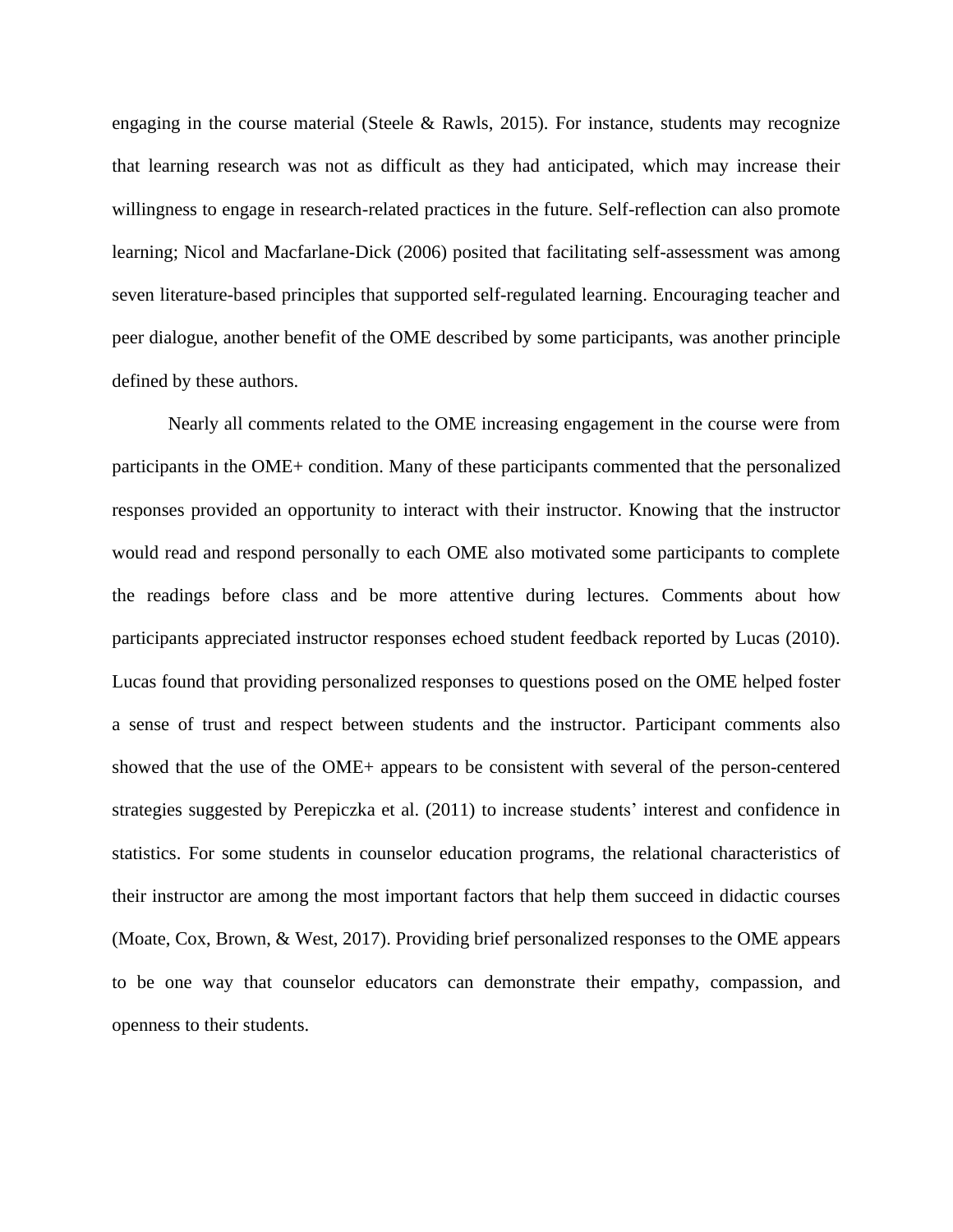engaging in the course material (Steele & Rawls, 2015). For instance, students may recognize that learning research was not as difficult as they had anticipated, which may increase their willingness to engage in research-related practices in the future. Self-reflection can also promote learning; Nicol and Macfarlane-Dick (2006) posited that facilitating self-assessment was among seven literature-based principles that supported self-regulated learning. Encouraging teacher and peer dialogue, another benefit of the OME described by some participants, was another principle defined by these authors.

Nearly all comments related to the OME increasing engagement in the course were from participants in the OME+ condition. Many of these participants commented that the personalized responses provided an opportunity to interact with their instructor. Knowing that the instructor would read and respond personally to each OME also motivated some participants to complete the readings before class and be more attentive during lectures. Comments about how participants appreciated instructor responses echoed student feedback reported by Lucas (2010). Lucas found that providing personalized responses to questions posed on the OME helped foster a sense of trust and respect between students and the instructor. Participant comments also showed that the use of the OME+ appears to be consistent with several of the person-centered strategies suggested by Perepiczka et al. (2011) to increase students' interest and confidence in statistics. For some students in counselor education programs, the relational characteristics of their instructor are among the most important factors that help them succeed in didactic courses (Moate, Cox, Brown, & West, 2017). Providing brief personalized responses to the OME appears to be one way that counselor educators can demonstrate their empathy, compassion, and openness to their students.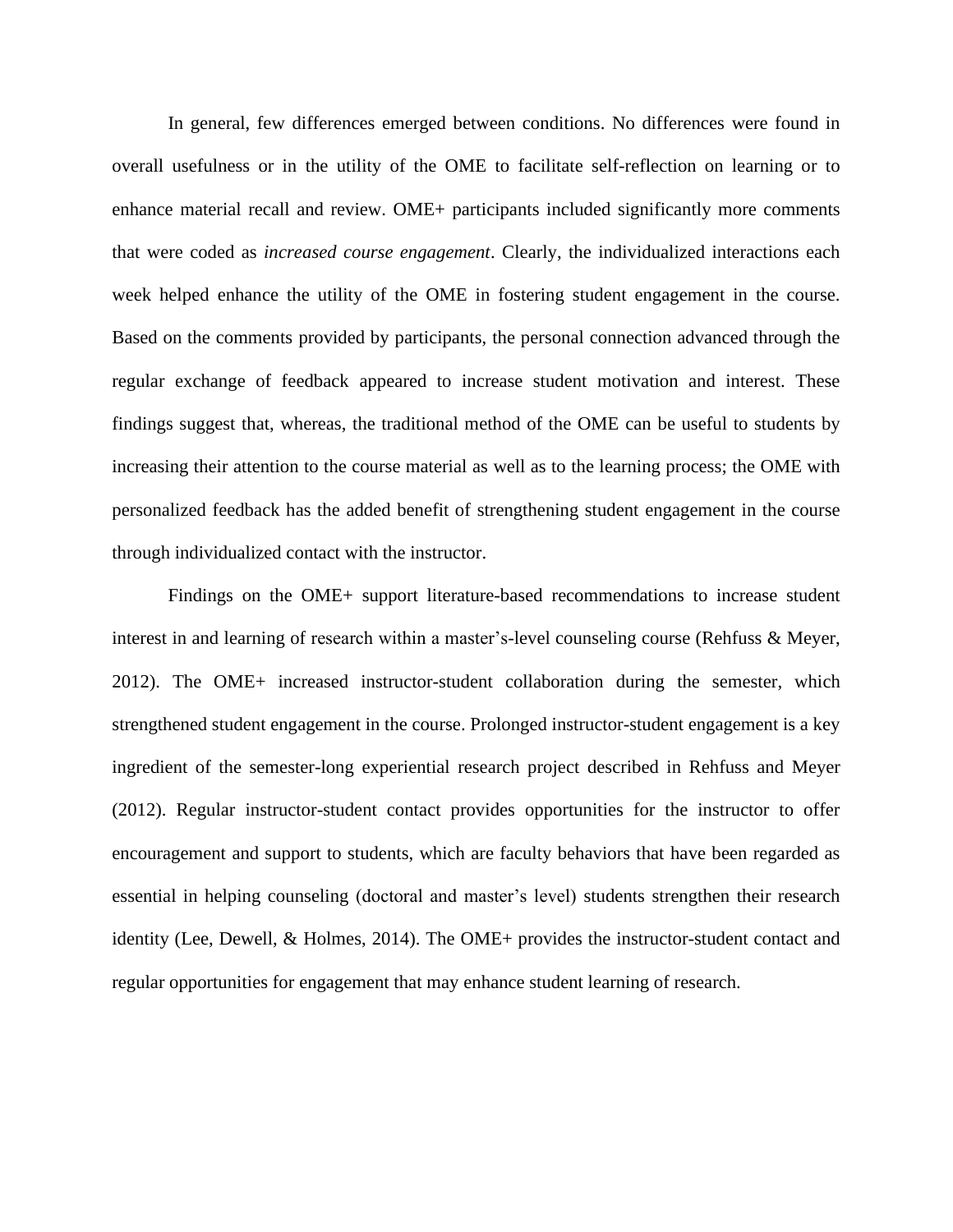In general, few differences emerged between conditions. No differences were found in overall usefulness or in the utility of the OME to facilitate self-reflection on learning or to enhance material recall and review. OME+ participants included significantly more comments that were coded as *increased course engagement*. Clearly, the individualized interactions each week helped enhance the utility of the OME in fostering student engagement in the course. Based on the comments provided by participants, the personal connection advanced through the regular exchange of feedback appeared to increase student motivation and interest. These findings suggest that, whereas, the traditional method of the OME can be useful to students by increasing their attention to the course material as well as to the learning process; the OME with personalized feedback has the added benefit of strengthening student engagement in the course through individualized contact with the instructor.

Findings on the OME+ support literature-based recommendations to increase student interest in and learning of research within a master's-level counseling course (Rehfuss & Meyer, 2012). The OME+ increased instructor-student collaboration during the semester, which strengthened student engagement in the course. Prolonged instructor-student engagement is a key ingredient of the semester-long experiential research project described in Rehfuss and Meyer (2012). Regular instructor-student contact provides opportunities for the instructor to offer encouragement and support to students, which are faculty behaviors that have been regarded as essential in helping counseling (doctoral and master's level) students strengthen their research identity (Lee, Dewell, & Holmes, 2014). The OME+ provides the instructor-student contact and regular opportunities for engagement that may enhance student learning of research.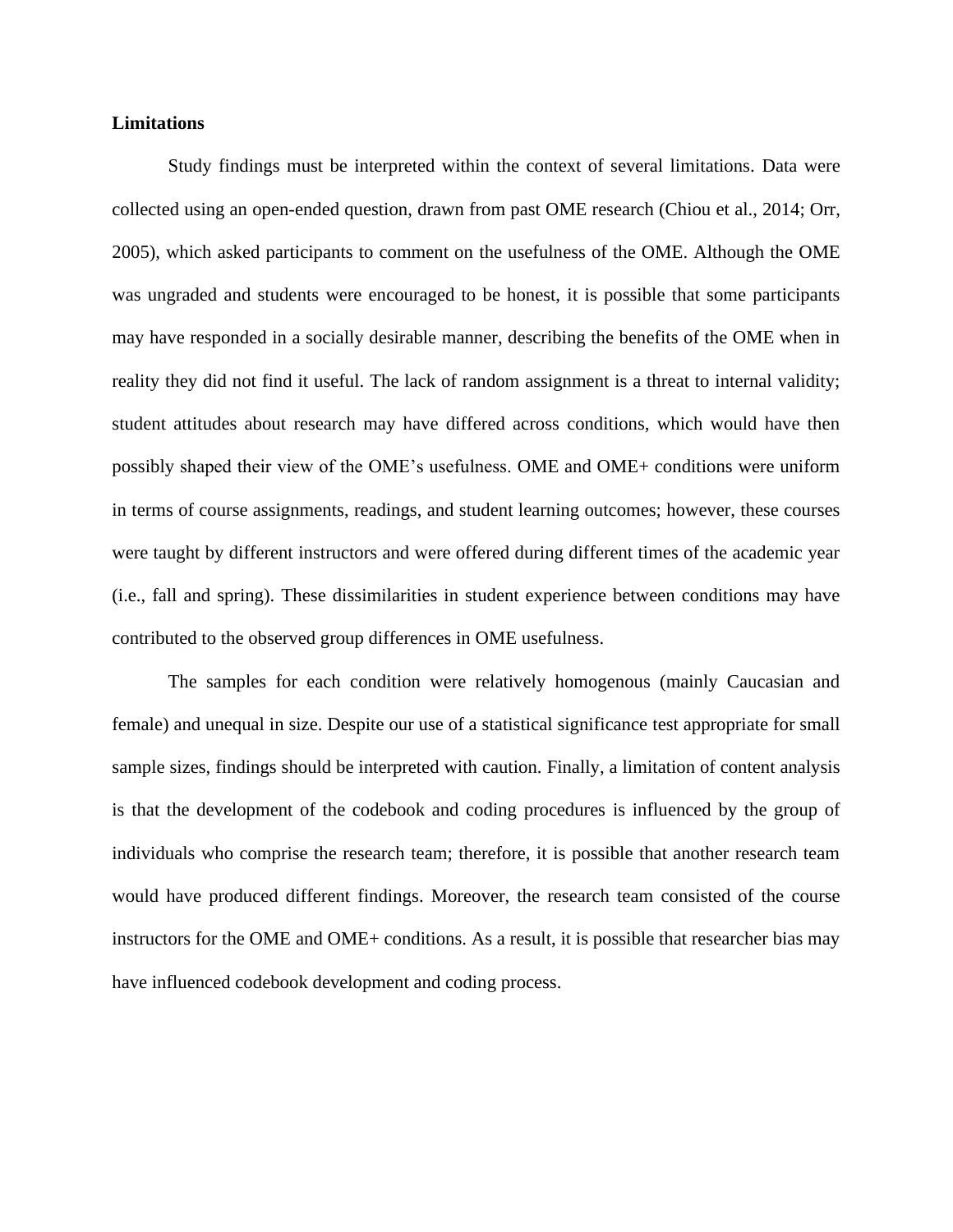# **Limitations**

Study findings must be interpreted within the context of several limitations. Data were collected using an open-ended question, drawn from past OME research (Chiou et al., 2014; Orr, 2005), which asked participants to comment on the usefulness of the OME. Although the OME was ungraded and students were encouraged to be honest, it is possible that some participants may have responded in a socially desirable manner, describing the benefits of the OME when in reality they did not find it useful. The lack of random assignment is a threat to internal validity; student attitudes about research may have differed across conditions, which would have then possibly shaped their view of the OME's usefulness. OME and OME+ conditions were uniform in terms of course assignments, readings, and student learning outcomes; however, these courses were taught by different instructors and were offered during different times of the academic year (i.e., fall and spring). These dissimilarities in student experience between conditions may have contributed to the observed group differences in OME usefulness.

The samples for each condition were relatively homogenous (mainly Caucasian and female) and unequal in size. Despite our use of a statistical significance test appropriate for small sample sizes, findings should be interpreted with caution. Finally, a limitation of content analysis is that the development of the codebook and coding procedures is influenced by the group of individuals who comprise the research team; therefore, it is possible that another research team would have produced different findings. Moreover, the research team consisted of the course instructors for the OME and OME+ conditions. As a result, it is possible that researcher bias may have influenced codebook development and coding process.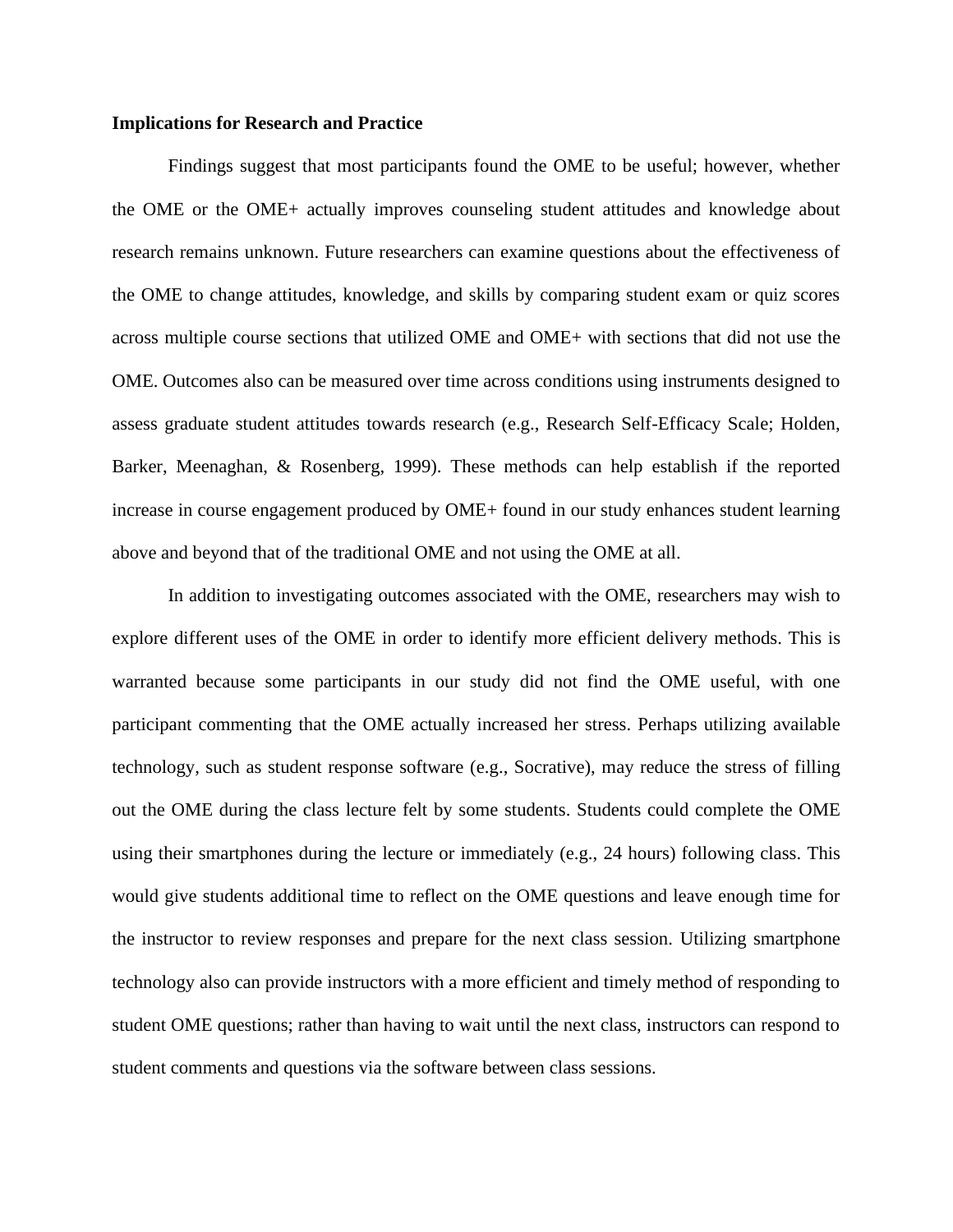# **Implications for Research and Practice**

Findings suggest that most participants found the OME to be useful; however, whether the OME or the OME+ actually improves counseling student attitudes and knowledge about research remains unknown. Future researchers can examine questions about the effectiveness of the OME to change attitudes, knowledge, and skills by comparing student exam or quiz scores across multiple course sections that utilized OME and OME+ with sections that did not use the OME. Outcomes also can be measured over time across conditions using instruments designed to assess graduate student attitudes towards research (e.g., Research Self-Efficacy Scale; Holden, Barker, Meenaghan, & Rosenberg, 1999). These methods can help establish if the reported increase in course engagement produced by OME+ found in our study enhances student learning above and beyond that of the traditional OME and not using the OME at all.

In addition to investigating outcomes associated with the OME, researchers may wish to explore different uses of the OME in order to identify more efficient delivery methods. This is warranted because some participants in our study did not find the OME useful, with one participant commenting that the OME actually increased her stress. Perhaps utilizing available technology, such as student response software (e.g., Socrative), may reduce the stress of filling out the OME during the class lecture felt by some students. Students could complete the OME using their smartphones during the lecture or immediately (e.g., 24 hours) following class. This would give students additional time to reflect on the OME questions and leave enough time for the instructor to review responses and prepare for the next class session. Utilizing smartphone technology also can provide instructors with a more efficient and timely method of responding to student OME questions; rather than having to wait until the next class, instructors can respond to student comments and questions via the software between class sessions.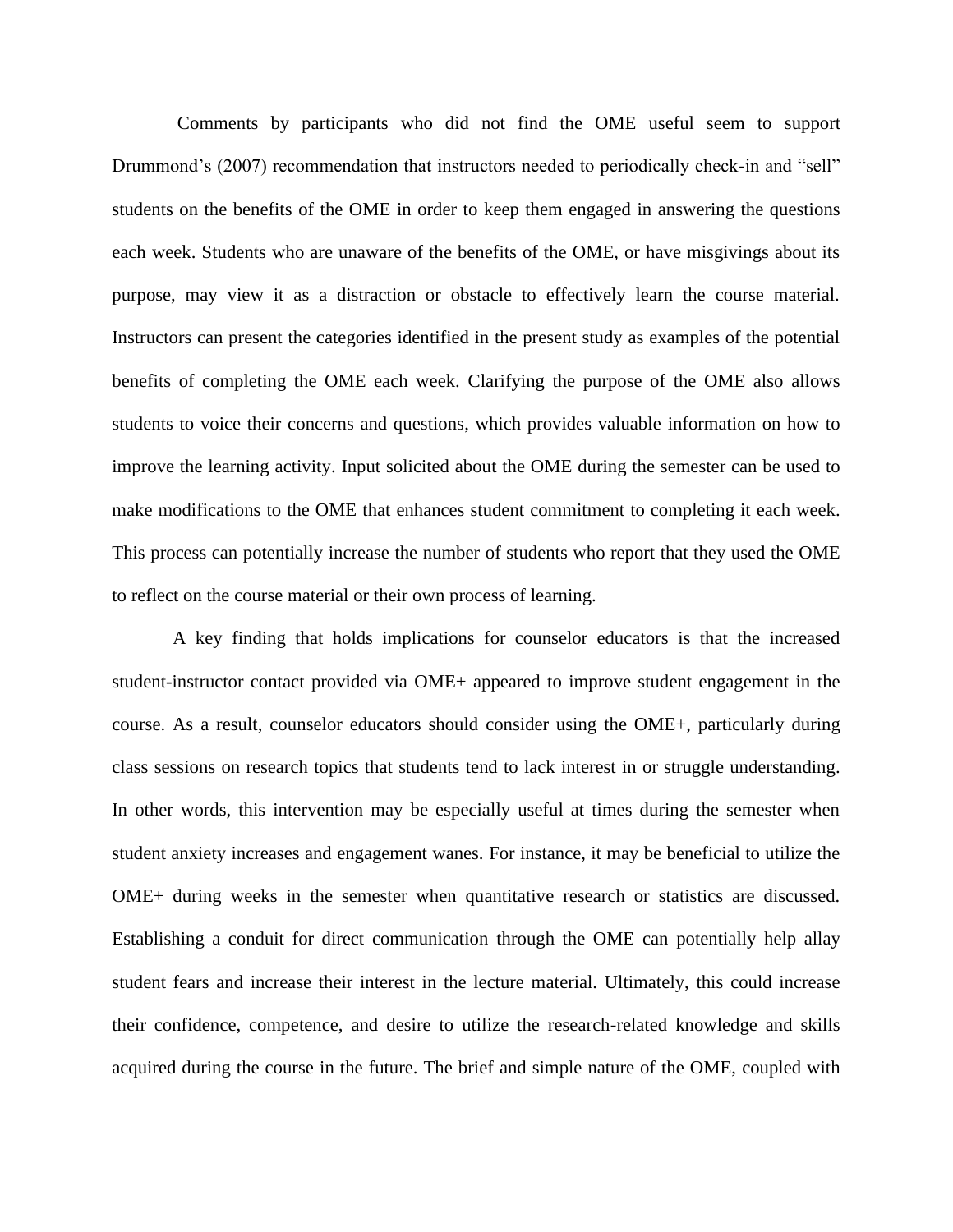Comments by participants who did not find the OME useful seem to support Drummond's (2007) recommendation that instructors needed to periodically check-in and "sell" students on the benefits of the OME in order to keep them engaged in answering the questions each week. Students who are unaware of the benefits of the OME, or have misgivings about its purpose, may view it as a distraction or obstacle to effectively learn the course material. Instructors can present the categories identified in the present study as examples of the potential benefits of completing the OME each week. Clarifying the purpose of the OME also allows students to voice their concerns and questions, which provides valuable information on how to improve the learning activity. Input solicited about the OME during the semester can be used to make modifications to the OME that enhances student commitment to completing it each week. This process can potentially increase the number of students who report that they used the OME to reflect on the course material or their own process of learning.

A key finding that holds implications for counselor educators is that the increased student-instructor contact provided via OME+ appeared to improve student engagement in the course. As a result, counselor educators should consider using the OME+, particularly during class sessions on research topics that students tend to lack interest in or struggle understanding. In other words, this intervention may be especially useful at times during the semester when student anxiety increases and engagement wanes. For instance, it may be beneficial to utilize the OME+ during weeks in the semester when quantitative research or statistics are discussed. Establishing a conduit for direct communication through the OME can potentially help allay student fears and increase their interest in the lecture material. Ultimately, this could increase their confidence, competence, and desire to utilize the research-related knowledge and skills acquired during the course in the future. The brief and simple nature of the OME, coupled with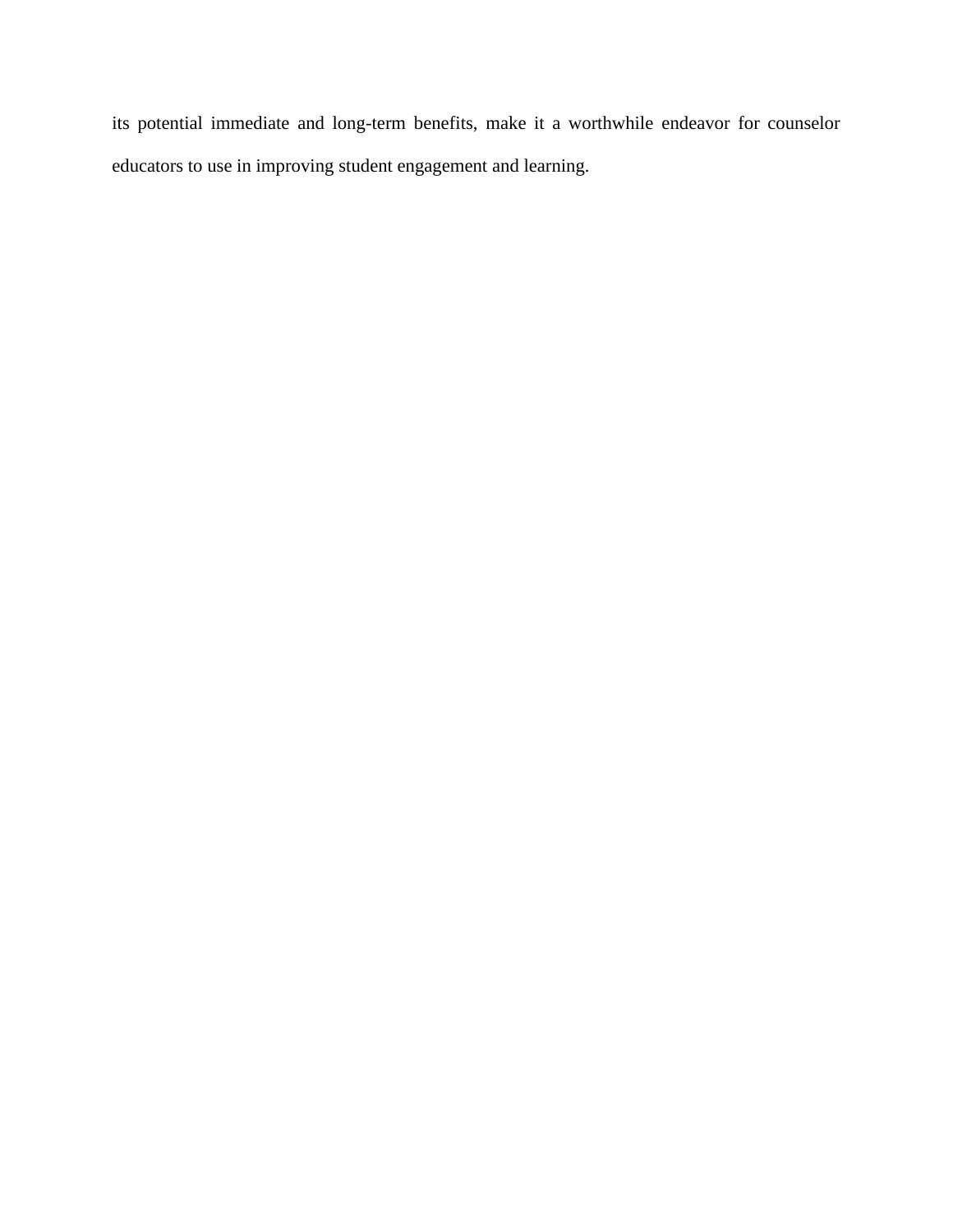its potential immediate and long-term benefits, make it a worthwhile endeavor for counselor educators to use in improving student engagement and learning.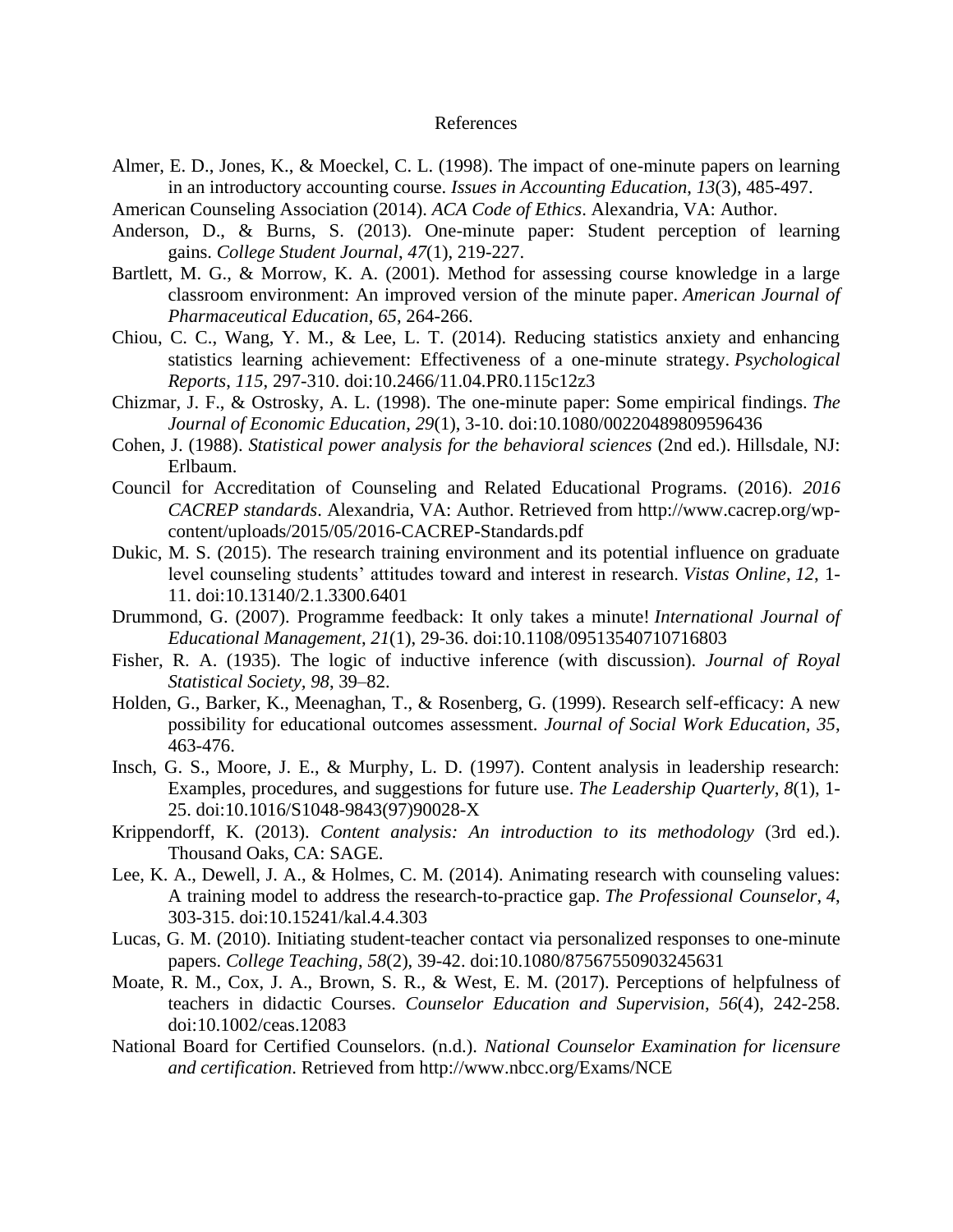#### References

- Almer, E. D., Jones, K., & Moeckel, C. L. (1998). The impact of one-minute papers on learning in an introductory accounting course. *Issues in Accounting Education*, *13*(3), 485-497.
- American Counseling Association (2014). *ACA Code of Ethics*. Alexandria, VA: Author.
- Anderson, D., & Burns, S. (2013). One-minute paper: Student perception of learning gains. *College Student Journal*, *47*(1), 219-227.
- Bartlett, M. G., & Morrow, K. A. (2001). Method for assessing course knowledge in a large classroom environment: An improved version of the minute paper. *American Journal of Pharmaceutical Education*, *65*, 264-266.
- Chiou, C. C., Wang, Y. M., & Lee, L. T. (2014). Reducing statistics anxiety and enhancing statistics learning achievement: Effectiveness of a one-minute strategy. *Psychological Reports*, *115*, 297-310. doi:10.2466/11.04.PR0.115c12z3
- Chizmar, J. F., & Ostrosky, A. L. (1998). The one-minute paper: Some empirical findings. *The Journal of Economic Education*, *29*(1), 3-10. doi:10.1080/00220489809596436
- Cohen, J. (1988). *Statistical power analysis for the behavioral sciences* (2nd ed.). Hillsdale, NJ: Erlbaum.
- Council for Accreditation of Counseling and Related Educational Programs. (2016). *2016 CACREP standards*. Alexandria, VA: Author. Retrieved from http://www.cacrep.org/wpcontent/uploads/2015/05/2016-CACREP-Standards.pdf
- Dukic, M. S. (2015). The research training environment and its potential influence on graduate level counseling students' attitudes toward and interest in research. *Vistas Online*, *12*, 1- 11. doi:10.13140/2.1.3300.6401
- Drummond, G. (2007). Programme feedback: It only takes a minute! *International Journal of Educational Management*, *21*(1), 29-36. doi:10.1108/09513540710716803
- Fisher, R. A. (1935). The logic of inductive inference (with discussion). *Journal of Royal Statistical Society, 98*, 39–82.
- Holden, G., Barker, K., Meenaghan, T., & Rosenberg, G. (1999). Research self-efficacy: A new possibility for educational outcomes assessment. *Journal of Social Work Education, 35*, 463-476.
- Insch, G. S., Moore, J. E., & Murphy, L. D. (1997). Content analysis in leadership research: Examples, procedures, and suggestions for future use. *The Leadership Quarterly*, *8*(1), 1- 25. doi:10.1016/S1048-9843(97)90028-X
- Krippendorff, K. (2013). *Content analysis: An introduction to its methodology* (3rd ed.). Thousand Oaks, CA: SAGE.
- Lee, K. A., Dewell, J. A., & Holmes, C. M. (2014). Animating research with counseling values: A training model to address the research-to-practice gap. *The Professional Counselor*, *4*, 303-315. doi:10.15241/kal.4.4.303
- Lucas, G. M. (2010). Initiating student-teacher contact via personalized responses to one-minute papers. *College Teaching*, *58*(2), 39-42. doi:10.1080/87567550903245631
- Moate, R. M., Cox, J. A., Brown, S. R., & West, E. M. (2017). Perceptions of helpfulness of teachers in didactic Courses. *Counselor Education and Supervision*, *56*(4), 242-258. doi:10.1002/ceas.12083
- National Board for Certified Counselors. (n.d.). *National Counselor Examination for licensure and certification*. Retrieved from http://www.nbcc.org/Exams/NCE